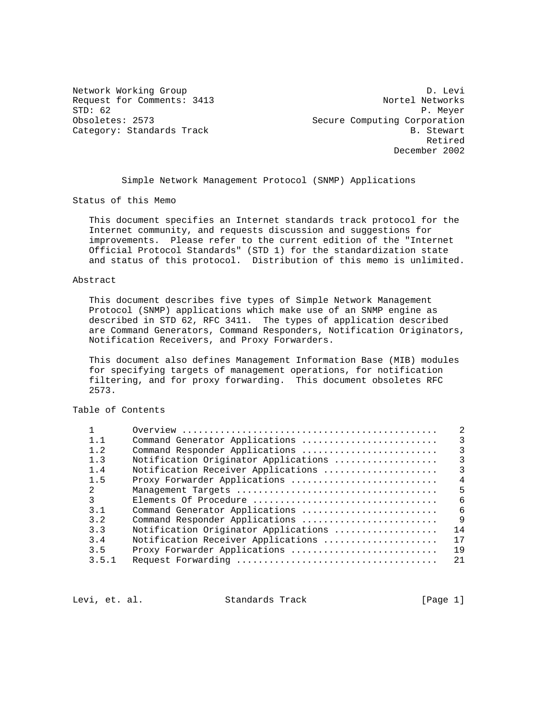Network Working Group Devil and the United States of D. Levi Request for Comments: 3413 Nortel Networks<br>STD: 62 P. Meyer STD: 62 P. Meyer<br>Obsoletes: 2573 P. Meyer Secure Computing Corporation Secure Computing Corporation Category: Standards Track B. Stewart **Retired** Section 2014 12:00 the control of the control of the control of the control of the control of the control of the control of the control of the control of the control of the control of the control of the control o December 2002

Simple Network Management Protocol (SNMP) Applications

Status of this Memo

 This document specifies an Internet standards track protocol for the Internet community, and requests discussion and suggestions for improvements. Please refer to the current edition of the "Internet Official Protocol Standards" (STD 1) for the standardization state and status of this protocol. Distribution of this memo is unlimited.

#### Abstract

 This document describes five types of Simple Network Management Protocol (SNMP) applications which make use of an SNMP engine as described in STD 62, RFC 3411. The types of application described are Command Generators, Command Responders, Notification Originators, Notification Receivers, and Proxy Forwarders.

 This document also defines Management Information Base (MIB) modules for specifying targets of management operations, for notification filtering, and for proxy forwarding. This document obsoletes RFC 2573.

# Table of Contents

| 1.1            | Command Generator Applications       | 3              |
|----------------|--------------------------------------|----------------|
| 1.2            | Command Responder Applications       | $\mathcal{E}$  |
| 1.3            | Notification Originator Applications | ζ              |
| 1.4            | Notification Receiver Applications   | $\mathbf{R}$   |
| 1.5            | Proxy Forwarder Applications         | $\overline{4}$ |
| $\mathcal{L}$  |                                      | 5              |
| ζ              | Elements Of Procedure                | 6              |
| 3 <sub>1</sub> | Command Generator Applications       | 6              |
| 3.2            | Command Responder Applications       | $\mathsf{Q}$   |
| 3.3            | Notification Originator Applications | 14             |
| 3.4            | Notification Receiver Applications   | 17             |
| 3.5            | Proxy Forwarder Applications         | 19             |
| 3.5.1          |                                      | 21             |
|                |                                      |                |

Levi, et. al. Standards Track [Page 1]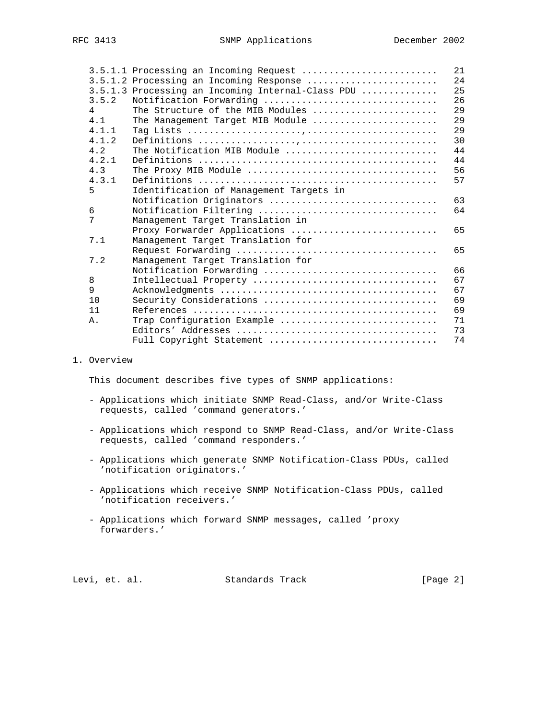| 3.5.1.2 Processing an Incoming Response<br>3.5.1.3 Processing an Incoming Internal-Class PDU<br>3.5.2<br>Notification Forwarding<br>The Structure of the MIB Modules<br>4<br>4.1<br>The Management Target MIB Module<br>4.1.1<br>4.1.2<br>4.2<br>The Notification MIB Module<br>4.2.1<br>4.3<br>4.3.1<br>5<br>Identification of Management Targets in<br>Notification Originators<br>Notification Filtering<br>6<br>7<br>Management Target Translation in<br>Proxy Forwarder Applications<br>7.1<br>Management Target Translation for<br>7.2<br>Management Target Translation for<br>Notification Forwarding<br>8<br>Intellectual Property<br>9<br>10<br>Security Considerations<br>11<br>Trap Configuration Example<br>Α.<br>Full Copyright Statement |  | 3.5.1.1 Processing an Incoming Request | 21 |
|--------------------------------------------------------------------------------------------------------------------------------------------------------------------------------------------------------------------------------------------------------------------------------------------------------------------------------------------------------------------------------------------------------------------------------------------------------------------------------------------------------------------------------------------------------------------------------------------------------------------------------------------------------------------------------------------------------------------------------------------------------|--|----------------------------------------|----|
|                                                                                                                                                                                                                                                                                                                                                                                                                                                                                                                                                                                                                                                                                                                                                        |  |                                        | 24 |
|                                                                                                                                                                                                                                                                                                                                                                                                                                                                                                                                                                                                                                                                                                                                                        |  |                                        | 25 |
|                                                                                                                                                                                                                                                                                                                                                                                                                                                                                                                                                                                                                                                                                                                                                        |  |                                        | 26 |
|                                                                                                                                                                                                                                                                                                                                                                                                                                                                                                                                                                                                                                                                                                                                                        |  |                                        | 29 |
|                                                                                                                                                                                                                                                                                                                                                                                                                                                                                                                                                                                                                                                                                                                                                        |  |                                        | 29 |
|                                                                                                                                                                                                                                                                                                                                                                                                                                                                                                                                                                                                                                                                                                                                                        |  |                                        | 29 |
|                                                                                                                                                                                                                                                                                                                                                                                                                                                                                                                                                                                                                                                                                                                                                        |  |                                        | 30 |
|                                                                                                                                                                                                                                                                                                                                                                                                                                                                                                                                                                                                                                                                                                                                                        |  |                                        | 44 |
|                                                                                                                                                                                                                                                                                                                                                                                                                                                                                                                                                                                                                                                                                                                                                        |  |                                        | 44 |
|                                                                                                                                                                                                                                                                                                                                                                                                                                                                                                                                                                                                                                                                                                                                                        |  |                                        | 56 |
|                                                                                                                                                                                                                                                                                                                                                                                                                                                                                                                                                                                                                                                                                                                                                        |  |                                        | 57 |
|                                                                                                                                                                                                                                                                                                                                                                                                                                                                                                                                                                                                                                                                                                                                                        |  |                                        |    |
|                                                                                                                                                                                                                                                                                                                                                                                                                                                                                                                                                                                                                                                                                                                                                        |  |                                        | 63 |
|                                                                                                                                                                                                                                                                                                                                                                                                                                                                                                                                                                                                                                                                                                                                                        |  |                                        | 64 |
|                                                                                                                                                                                                                                                                                                                                                                                                                                                                                                                                                                                                                                                                                                                                                        |  |                                        |    |
|                                                                                                                                                                                                                                                                                                                                                                                                                                                                                                                                                                                                                                                                                                                                                        |  |                                        | 65 |
|                                                                                                                                                                                                                                                                                                                                                                                                                                                                                                                                                                                                                                                                                                                                                        |  |                                        |    |
|                                                                                                                                                                                                                                                                                                                                                                                                                                                                                                                                                                                                                                                                                                                                                        |  |                                        | 65 |
|                                                                                                                                                                                                                                                                                                                                                                                                                                                                                                                                                                                                                                                                                                                                                        |  |                                        |    |
|                                                                                                                                                                                                                                                                                                                                                                                                                                                                                                                                                                                                                                                                                                                                                        |  |                                        | 66 |
|                                                                                                                                                                                                                                                                                                                                                                                                                                                                                                                                                                                                                                                                                                                                                        |  |                                        | 67 |
|                                                                                                                                                                                                                                                                                                                                                                                                                                                                                                                                                                                                                                                                                                                                                        |  |                                        | 67 |
|                                                                                                                                                                                                                                                                                                                                                                                                                                                                                                                                                                                                                                                                                                                                                        |  |                                        | 69 |
|                                                                                                                                                                                                                                                                                                                                                                                                                                                                                                                                                                                                                                                                                                                                                        |  |                                        | 69 |
|                                                                                                                                                                                                                                                                                                                                                                                                                                                                                                                                                                                                                                                                                                                                                        |  |                                        | 71 |
|                                                                                                                                                                                                                                                                                                                                                                                                                                                                                                                                                                                                                                                                                                                                                        |  |                                        | 73 |
|                                                                                                                                                                                                                                                                                                                                                                                                                                                                                                                                                                                                                                                                                                                                                        |  |                                        | 74 |

### 1. Overview

This document describes five types of SNMP applications:

- Applications which initiate SNMP Read-Class, and/or Write-Class requests, called 'command generators.'
- Applications which respond to SNMP Read-Class, and/or Write-Class requests, called 'command responders.'
- Applications which generate SNMP Notification-Class PDUs, called 'notification originators.'
- Applications which receive SNMP Notification-Class PDUs, called 'notification receivers.'
- Applications which forward SNMP messages, called 'proxy forwarders.'

Levi, et. al. Standards Track [Page 2]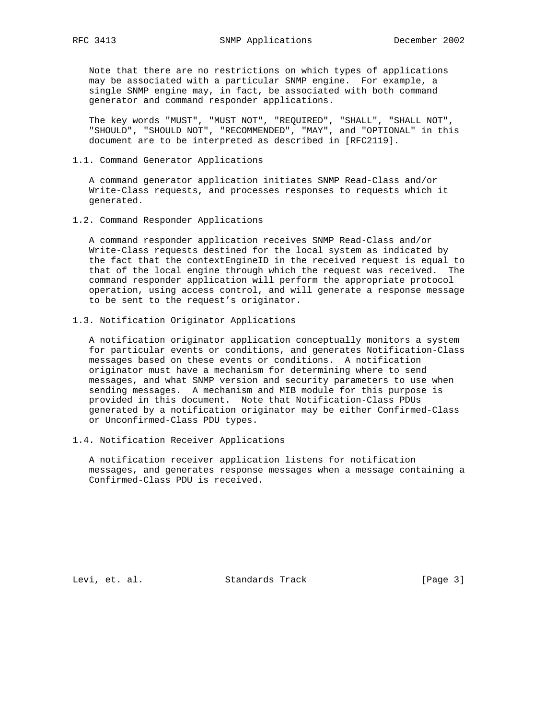Note that there are no restrictions on which types of applications may be associated with a particular SNMP engine. For example, a single SNMP engine may, in fact, be associated with both command generator and command responder applications.

 The key words "MUST", "MUST NOT", "REQUIRED", "SHALL", "SHALL NOT", "SHOULD", "SHOULD NOT", "RECOMMENDED", "MAY", and "OPTIONAL" in this document are to be interpreted as described in [RFC2119].

### 1.1. Command Generator Applications

 A command generator application initiates SNMP Read-Class and/or Write-Class requests, and processes responses to requests which it generated.

1.2. Command Responder Applications

 A command responder application receives SNMP Read-Class and/or Write-Class requests destined for the local system as indicated by the fact that the contextEngineID in the received request is equal to that of the local engine through which the request was received. The command responder application will perform the appropriate protocol operation, using access control, and will generate a response message to be sent to the request's originator.

1.3. Notification Originator Applications

 A notification originator application conceptually monitors a system for particular events or conditions, and generates Notification-Class messages based on these events or conditions. A notification originator must have a mechanism for determining where to send messages, and what SNMP version and security parameters to use when sending messages. A mechanism and MIB module for this purpose is provided in this document. Note that Notification-Class PDUs generated by a notification originator may be either Confirmed-Class or Unconfirmed-Class PDU types.

1.4. Notification Receiver Applications

 A notification receiver application listens for notification messages, and generates response messages when a message containing a Confirmed-Class PDU is received.

Levi, et. al. Standards Track [Page 3]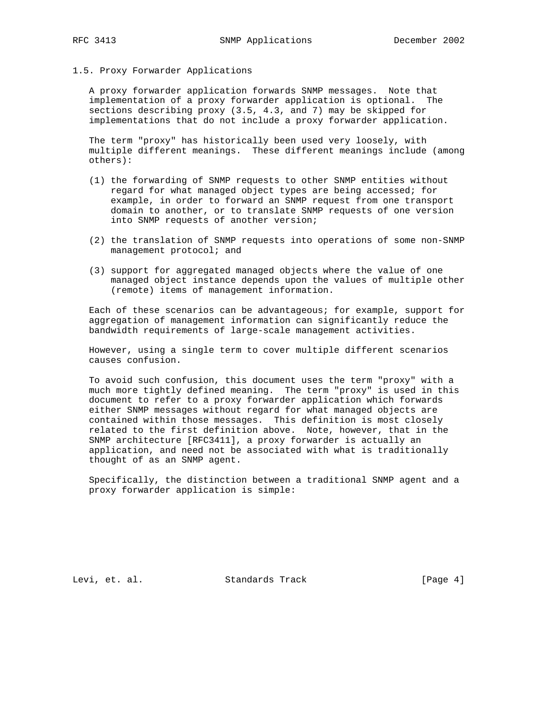#### 1.5. Proxy Forwarder Applications

 A proxy forwarder application forwards SNMP messages. Note that implementation of a proxy forwarder application is optional. The sections describing proxy (3.5, 4.3, and 7) may be skipped for implementations that do not include a proxy forwarder application.

 The term "proxy" has historically been used very loosely, with multiple different meanings. These different meanings include (among others):

- (1) the forwarding of SNMP requests to other SNMP entities without regard for what managed object types are being accessed; for example, in order to forward an SNMP request from one transport domain to another, or to translate SNMP requests of one version into SNMP requests of another version;
- (2) the translation of SNMP requests into operations of some non-SNMP management protocol; and
- (3) support for aggregated managed objects where the value of one managed object instance depends upon the values of multiple other (remote) items of management information.

 Each of these scenarios can be advantageous; for example, support for aggregation of management information can significantly reduce the bandwidth requirements of large-scale management activities.

 However, using a single term to cover multiple different scenarios causes confusion.

 To avoid such confusion, this document uses the term "proxy" with a much more tightly defined meaning. The term "proxy" is used in this document to refer to a proxy forwarder application which forwards either SNMP messages without regard for what managed objects are contained within those messages. This definition is most closely related to the first definition above. Note, however, that in the SNMP architecture [RFC3411], a proxy forwarder is actually an application, and need not be associated with what is traditionally thought of as an SNMP agent.

 Specifically, the distinction between a traditional SNMP agent and a proxy forwarder application is simple:

Levi, et. al. Standards Track [Page 4]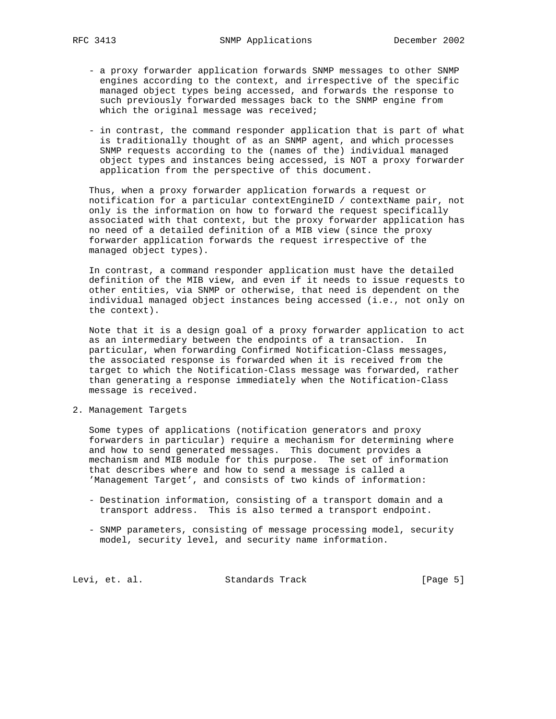- a proxy forwarder application forwards SNMP messages to other SNMP engines according to the context, and irrespective of the specific managed object types being accessed, and forwards the response to such previously forwarded messages back to the SNMP engine from which the original message was received;
- in contrast, the command responder application that is part of what is traditionally thought of as an SNMP agent, and which processes SNMP requests according to the (names of the) individual managed object types and instances being accessed, is NOT a proxy forwarder application from the perspective of this document.

 Thus, when a proxy forwarder application forwards a request or notification for a particular contextEngineID / contextName pair, not only is the information on how to forward the request specifically associated with that context, but the proxy forwarder application has no need of a detailed definition of a MIB view (since the proxy forwarder application forwards the request irrespective of the managed object types).

 In contrast, a command responder application must have the detailed definition of the MIB view, and even if it needs to issue requests to other entities, via SNMP or otherwise, that need is dependent on the individual managed object instances being accessed (i.e., not only on the context).

 Note that it is a design goal of a proxy forwarder application to act as an intermediary between the endpoints of a transaction. In particular, when forwarding Confirmed Notification-Class messages, the associated response is forwarded when it is received from the target to which the Notification-Class message was forwarded, rather than generating a response immediately when the Notification-Class message is received.

2. Management Targets

 Some types of applications (notification generators and proxy forwarders in particular) require a mechanism for determining where and how to send generated messages. This document provides a mechanism and MIB module for this purpose. The set of information that describes where and how to send a message is called a 'Management Target', and consists of two kinds of information:

- Destination information, consisting of a transport domain and a transport address. This is also termed a transport endpoint.
- SNMP parameters, consisting of message processing model, security model, security level, and security name information.

Levi, et. al. Standards Track [Page 5]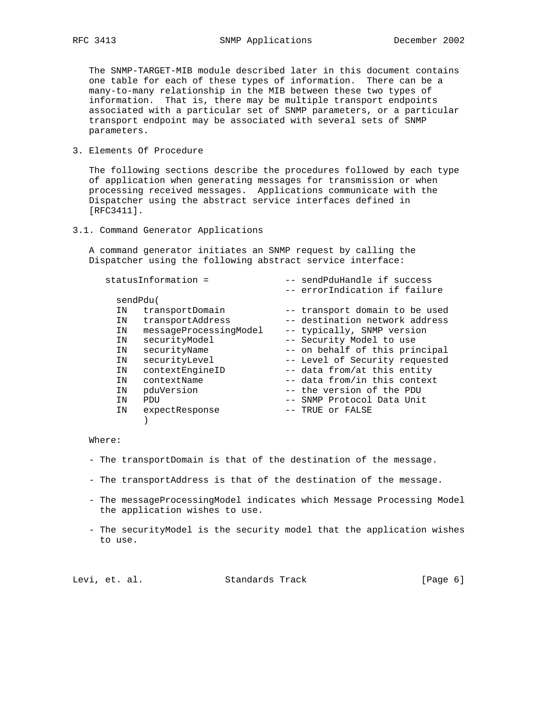The SNMP-TARGET-MIB module described later in this document contains one table for each of these types of information. There can be a many-to-many relationship in the MIB between these two types of information. That is, there may be multiple transport endpoints associated with a particular set of SNMP parameters, or a particular transport endpoint may be associated with several sets of SNMP parameters.

3. Elements Of Procedure

 The following sections describe the procedures followed by each type of application when generating messages for transmission or when processing received messages. Applications communicate with the Dispatcher using the abstract service interfaces defined in [RFC3411].

3.1. Command Generator Applications

 A command generator initiates an SNMP request by calling the Dispatcher using the following abstract service interface:

|          | statusInformation =    | -- sendPduHandle if success<br>-- errorIndication if failure |
|----------|------------------------|--------------------------------------------------------------|
| sendPdu( |                        |                                                              |
| ΙN       | transportDomain        | -- transport domain to be used                               |
| ΙN       | transportAddress       | -- destination network address                               |
| ΙN       | messageProcessingModel | -- typically, SNMP version                                   |
| ΙN       | securityModel          | -- Security Model to use                                     |
| ΙN       | securityName           | -- on behalf of this principal                               |
| ΙN       | securityLevel          | -- Level of Security requested                               |
| ΙN       | contextEngineID        | -- data from/at this entity                                  |
| ΙN       | contextName            | -- data from/in this context                                 |
| ΙN       | pduVersion             | -- the version of the PDU                                    |
| ΙN       | PDU                    | -- SNMP Protocol Data Unit                                   |
| ΙN       | expectResponse         | -- TRUE or FALSE                                             |
|          |                        |                                                              |

Where:

- The transportDomain is that of the destination of the message.
- The transportAddress is that of the destination of the message.
- The messageProcessingModel indicates which Message Processing Model the application wishes to use.
- The securityModel is the security model that the application wishes to use.

| Levi, et. al. | Standards Track | [Page 6] |  |
|---------------|-----------------|----------|--|
|               |                 |          |  |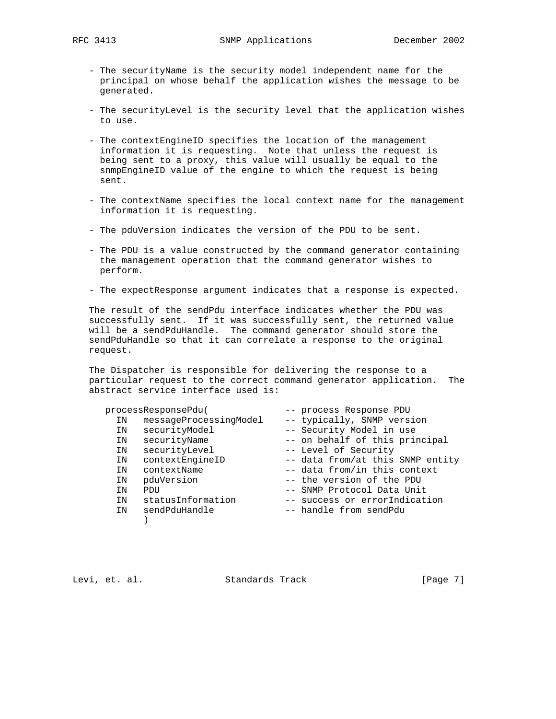- The securityName is the security model independent name for the principal on whose behalf the application wishes the message to be generated.
- The securityLevel is the security level that the application wishes to use.
- The contextEngineID specifies the location of the management information it is requesting. Note that unless the request is being sent to a proxy, this value will usually be equal to the snmpEngineID value of the engine to which the request is being sent.
- The contextName specifies the local context name for the management information it is requesting.
- The pduVersion indicates the version of the PDU to be sent.
- The PDU is a value constructed by the command generator containing the management operation that the command generator wishes to perform.
- The expectResponse argument indicates that a response is expected.

 The result of the sendPdu interface indicates whether the PDU was successfully sent. If it was successfully sent, the returned value will be a sendPduHandle. The command generator should store the sendPduHandle so that it can correlate a response to the original request.

 The Dispatcher is responsible for delivering the response to a particular request to the correct command generator application. The abstract service interface used is:

| processResponsePdu( |                        | -- process Response PDU |                                  |  |
|---------------------|------------------------|-------------------------|----------------------------------|--|
| ΙN                  | messageProcessingModel |                         | -- typically, SNMP version       |  |
| ΙN                  | securityModel          |                         | -- Security Model in use         |  |
| ΙN                  | securityName           |                         | -- on behalf of this principal   |  |
| ΙN                  | securityLevel          |                         | -- Level of Security             |  |
| ΙN                  | contextEngineID        |                         | -- data from/at this SNMP entity |  |
| ΙN                  | contextName            |                         | -- data from/in this context     |  |
| ΙN                  | pduVersion             |                         | -- the version of the PDU        |  |
| ΙN                  | PDU                    |                         | -- SNMP Protocol Data Unit       |  |
| ΙN                  | statusInformation      |                         | -- success or errorIndication    |  |
| ΙN                  | sendPduHandle          |                         | -- handle from sendPdu           |  |
|                     |                        |                         |                                  |  |

Levi, et. al. Standards Track [Page 7]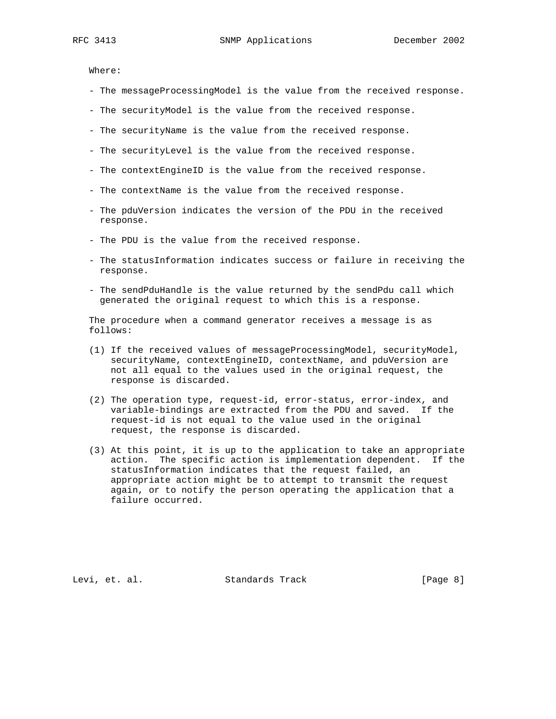Where:

- The messageProcessingModel is the value from the received response.
- The securityModel is the value from the received response.
- The securityName is the value from the received response.
- The securityLevel is the value from the received response.
- The contextEngineID is the value from the received response.
- The contextName is the value from the received response.
- The pduVersion indicates the version of the PDU in the received response.
- The PDU is the value from the received response.
- The statusInformation indicates success or failure in receiving the response.
- The sendPduHandle is the value returned by the sendPdu call which generated the original request to which this is a response.

 The procedure when a command generator receives a message is as follows:

- (1) If the received values of messageProcessingModel, securityModel, securityName, contextEngineID, contextName, and pduVersion are not all equal to the values used in the original request, the response is discarded.
- (2) The operation type, request-id, error-status, error-index, and variable-bindings are extracted from the PDU and saved. If the request-id is not equal to the value used in the original request, the response is discarded.
- (3) At this point, it is up to the application to take an appropriate action. The specific action is implementation dependent. If the statusInformation indicates that the request failed, an appropriate action might be to attempt to transmit the request again, or to notify the person operating the application that a failure occurred.

Levi, et. al. Standards Track [Page 8]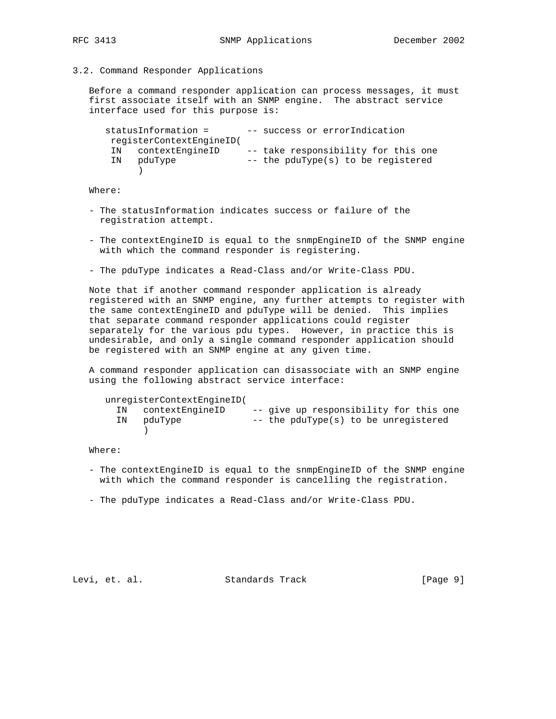### 3.2. Command Responder Applications

 Before a command responder application can process messages, it must first associate itself with an SNMP engine. The abstract service interface used for this purpose is:

statusInformation = -- success or errorIndication registerContextEngineID( IN contextEngineID -- take responsibility for this one IN pduType -- the pduType(s) to be registered )

Where:

- The statusInformation indicates success or failure of the registration attempt.
- The contextEngineID is equal to the snmpEngineID of the SNMP engine with which the command responder is registering.
- The pduType indicates a Read-Class and/or Write-Class PDU.

 Note that if another command responder application is already registered with an SNMP engine, any further attempts to register with the same contextEngineID and pduType will be denied. This implies that separate command responder applications could register separately for the various pdu types. However, in practice this is undesirable, and only a single command responder application should be registered with an SNMP engine at any given time.

 A command responder application can disassociate with an SNMP engine using the following abstract service interface:

| unregisterContextEngineID( |                                        |
|----------------------------|----------------------------------------|
| IN contextEngineID         | -- give up responsibility for this one |
| IN pduType                 | -- the pduType(s) to be unregistered   |
|                            |                                        |

Where:

- The contextEngineID is equal to the snmpEngineID of the SNMP engine with which the command responder is cancelling the registration.
- The pduType indicates a Read-Class and/or Write-Class PDU.

Levi, et. al. Standards Track [Page 9]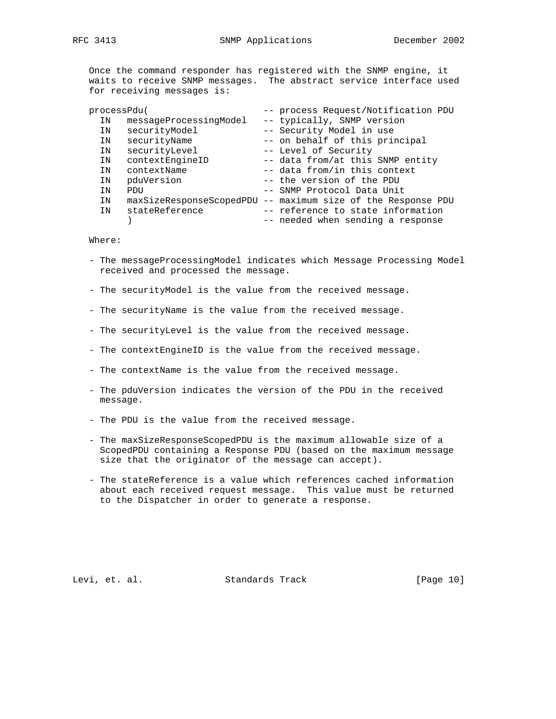Once the command responder has registered with the SNMP engine, it waits to receive SNMP messages. The abstract service interface used for receiving messages is:

| processPdu( |                        | -- process Request/Notification PDU                          |
|-------------|------------------------|--------------------------------------------------------------|
| ΙN          | messageProcessingModel | -- typically, SNMP version                                   |
| ΙN          | securityModel          | -- Security Model in use                                     |
| ΙN          | securityName           | -- on behalf of this principal                               |
| IN          | securityLevel          | -- Level of Security                                         |
| ΙN          | contextEngineID        | -- data from/at this SNMP entity                             |
| ΙN          | contextName            | -- data from/in this context                                 |
| ΙN          | pduVersion             | -- the version of the PDU                                    |
| ΙN          | PDU                    | -- SNMP Protocol Data Unit                                   |
| ΙN          |                        | maxSizeResponseScopedPDU -- maximum size of the Response PDU |
| ΙN          | stateReference         | -- reference to state information                            |
|             |                        | -- needed when sending a response                            |

Where:

- The messageProcessingModel indicates which Message Processing Model received and processed the message.
- The securityModel is the value from the received message.
- The securityName is the value from the received message.
- The securityLevel is the value from the received message.
- The contextEngineID is the value from the received message.
- The contextName is the value from the received message.
- The pduVersion indicates the version of the PDU in the received message.
- The PDU is the value from the received message.
- The maxSizeResponseScopedPDU is the maximum allowable size of a ScopedPDU containing a Response PDU (based on the maximum message size that the originator of the message can accept).
- The stateReference is a value which references cached information about each received request message. This value must be returned to the Dispatcher in order to generate a response.

Levi, et. al. Standards Track [Page 10]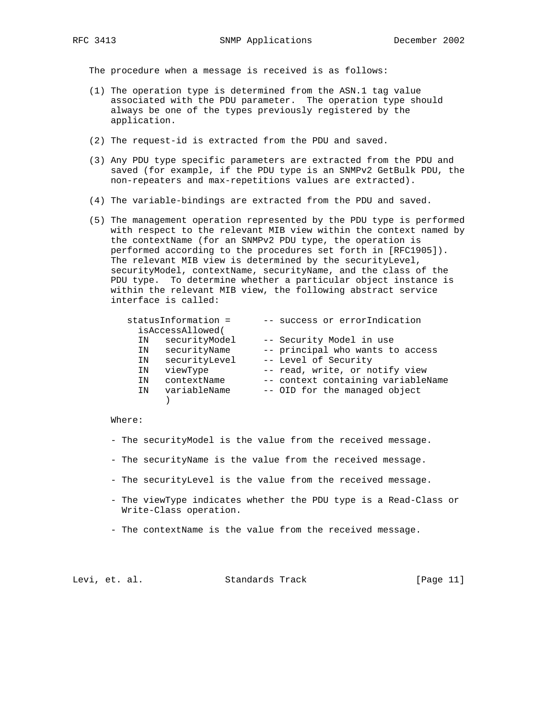The procedure when a message is received is as follows:

- (1) The operation type is determined from the ASN.1 tag value associated with the PDU parameter. The operation type should always be one of the types previously registered by the application.
- (2) The request-id is extracted from the PDU and saved.
- (3) Any PDU type specific parameters are extracted from the PDU and saved (for example, if the PDU type is an SNMPv2 GetBulk PDU, the non-repeaters and max-repetitions values are extracted).
- (4) The variable-bindings are extracted from the PDU and saved.
- (5) The management operation represented by the PDU type is performed with respect to the relevant MIB view within the context named by the contextName (for an SNMPv2 PDU type, the operation is performed according to the procedures set forth in [RFC1905]). The relevant MIB view is determined by the securityLevel, securityModel, contextName, securityName, and the class of the PDU type. To determine whether a particular object instance is within the relevant MIB view, the following abstract service interface is called:

| statusInformation = | -- success or errorIndication      |
|---------------------|------------------------------------|
| isAccessAllowed(    |                                    |
| securityModel<br>ΙN | -- Security Model in use           |
| securityName<br>ΙN  | -- principal who wants to access   |
| securityLevel<br>ΙN | -- Level of Security               |
| viewType<br>ΙN      | -- read, write, or notify view     |
| contextName<br>ΙN   | -- context containing variableName |
| variableName<br>ΙN  | -- OID for the managed object      |
|                     |                                    |

#### Where:

- The securityModel is the value from the received message.
- The securityName is the value from the received message.
- The securityLevel is the value from the received message.
- The viewType indicates whether the PDU type is a Read-Class or Write-Class operation.
- The contextName is the value from the received message.

Levi, et. al. Standards Track [Page 11]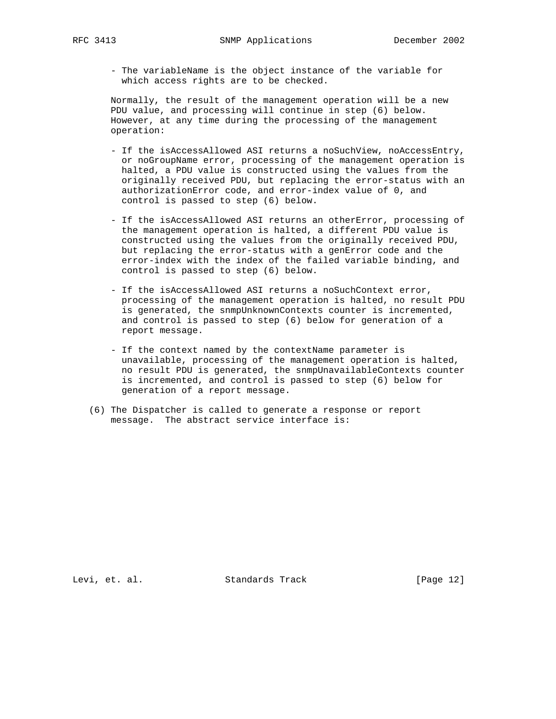- The variableName is the object instance of the variable for which access rights are to be checked.

 Normally, the result of the management operation will be a new PDU value, and processing will continue in step (6) below. However, at any time during the processing of the management operation:

- If the isAccessAllowed ASI returns a noSuchView, noAccessEntry, or noGroupName error, processing of the management operation is halted, a PDU value is constructed using the values from the originally received PDU, but replacing the error-status with an authorizationError code, and error-index value of 0, and control is passed to step (6) below.
- If the isAccessAllowed ASI returns an otherError, processing of the management operation is halted, a different PDU value is constructed using the values from the originally received PDU, but replacing the error-status with a genError code and the error-index with the index of the failed variable binding, and control is passed to step (6) below.
- If the isAccessAllowed ASI returns a noSuchContext error, processing of the management operation is halted, no result PDU is generated, the snmpUnknownContexts counter is incremented, and control is passed to step (6) below for generation of a report message.
- If the context named by the contextName parameter is unavailable, processing of the management operation is halted, no result PDU is generated, the snmpUnavailableContexts counter is incremented, and control is passed to step (6) below for generation of a report message.
- (6) The Dispatcher is called to generate a response or report message. The abstract service interface is:

Levi, et. al. Standards Track [Page 12]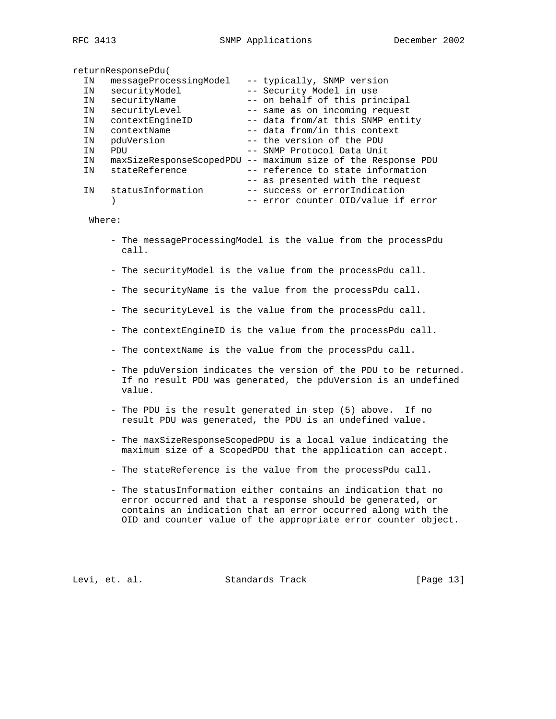returnResponsePdu(

| ΙN | messageProcessingModel   | -- typically, SNMP version          |
|----|--------------------------|-------------------------------------|
| ΙN | securityModel            | -- Security Model in use            |
| ΙN | securityName             | -- on behalf of this principal      |
| IN | securityLevel            | -- same as on incoming request      |
| IN | contextEngineID          | -- data from/at this SNMP entity    |
| IN | contextName              | -- data from/in this context        |
| ΙN | pduVersion               | -- the version of the PDU           |
| ΙN | PDU                      | -- SNMP Protocol Data Unit          |
| ΙN | maxSizeResponseScopedPDU | -- maximum size of the Response PDU |
| ΙN | stateReference           | -- reference to state information   |
|    |                          | -- as presented with the request    |
| IN | statusInformation        | -- success or errorIndication       |
|    |                          | -- error counter OID/value if error |

Where:

- The messageProcessingModel is the value from the processPdu call.
- The securityModel is the value from the processPdu call.
- The securityName is the value from the processPdu call.
- The securityLevel is the value from the processPdu call.
- The contextEngineID is the value from the processPdu call.
- The contextName is the value from the processPdu call.
- The pduVersion indicates the version of the PDU to be returned. If no result PDU was generated, the pduVersion is an undefined value.
- The PDU is the result generated in step (5) above. If no result PDU was generated, the PDU is an undefined value.
- The maxSizeResponseScopedPDU is a local value indicating the maximum size of a ScopedPDU that the application can accept.
- The stateReference is the value from the processPdu call.
- The statusInformation either contains an indication that no error occurred and that a response should be generated, or contains an indication that an error occurred along with the OID and counter value of the appropriate error counter object.

Levi, et. al. Standards Track [Page 13]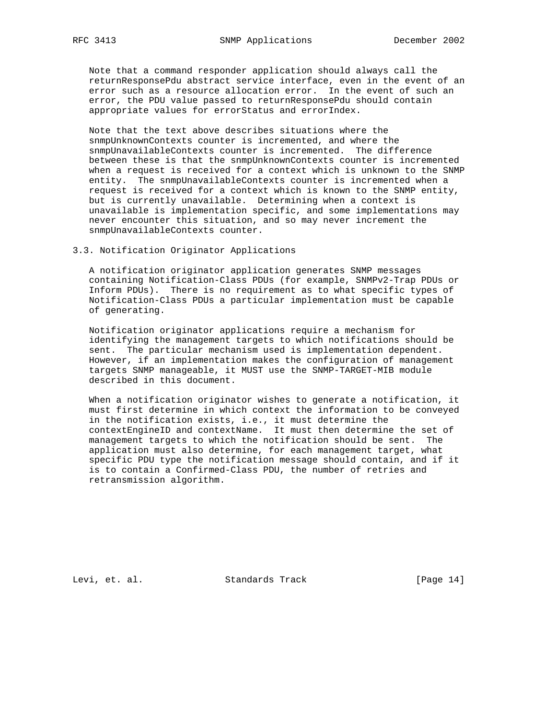Note that a command responder application should always call the returnResponsePdu abstract service interface, even in the event of an error such as a resource allocation error. In the event of such an error, the PDU value passed to returnResponsePdu should contain appropriate values for errorStatus and errorIndex.

 Note that the text above describes situations where the snmpUnknownContexts counter is incremented, and where the snmpUnavailableContexts counter is incremented. The difference between these is that the snmpUnknownContexts counter is incremented when a request is received for a context which is unknown to the SNMP entity. The snmpUnavailableContexts counter is incremented when a request is received for a context which is known to the SNMP entity, but is currently unavailable. Determining when a context is unavailable is implementation specific, and some implementations may never encounter this situation, and so may never increment the snmpUnavailableContexts counter.

## 3.3. Notification Originator Applications

 A notification originator application generates SNMP messages containing Notification-Class PDUs (for example, SNMPv2-Trap PDUs or Inform PDUs). There is no requirement as to what specific types of Notification-Class PDUs a particular implementation must be capable of generating.

 Notification originator applications require a mechanism for identifying the management targets to which notifications should be sent. The particular mechanism used is implementation dependent. However, if an implementation makes the configuration of management targets SNMP manageable, it MUST use the SNMP-TARGET-MIB module described in this document.

 When a notification originator wishes to generate a notification, it must first determine in which context the information to be conveyed in the notification exists, i.e., it must determine the contextEngineID and contextName. It must then determine the set of management targets to which the notification should be sent. The application must also determine, for each management target, what specific PDU type the notification message should contain, and if it is to contain a Confirmed-Class PDU, the number of retries and retransmission algorithm.

Levi, et. al. Standards Track [Page 14]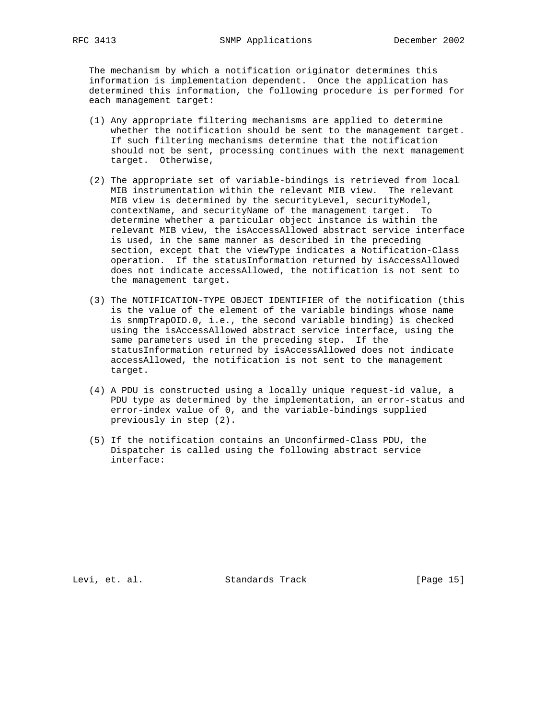The mechanism by which a notification originator determines this information is implementation dependent. Once the application has determined this information, the following procedure is performed for each management target:

- (1) Any appropriate filtering mechanisms are applied to determine whether the notification should be sent to the management target. If such filtering mechanisms determine that the notification should not be sent, processing continues with the next management target. Otherwise,
- (2) The appropriate set of variable-bindings is retrieved from local MIB instrumentation within the relevant MIB view. The relevant MIB view is determined by the securityLevel, securityModel, contextName, and securityName of the management target. To determine whether a particular object instance is within the relevant MIB view, the isAccessAllowed abstract service interface is used, in the same manner as described in the preceding section, except that the viewType indicates a Notification-Class operation. If the statusInformation returned by isAccessAllowed does not indicate accessAllowed, the notification is not sent to the management target.
- (3) The NOTIFICATION-TYPE OBJECT IDENTIFIER of the notification (this is the value of the element of the variable bindings whose name is snmpTrapOID.0, i.e., the second variable binding) is checked using the isAccessAllowed abstract service interface, using the same parameters used in the preceding step. If the statusInformation returned by isAccessAllowed does not indicate accessAllowed, the notification is not sent to the management target.
- (4) A PDU is constructed using a locally unique request-id value, a PDU type as determined by the implementation, an error-status and error-index value of 0, and the variable-bindings supplied previously in step (2).
- (5) If the notification contains an Unconfirmed-Class PDU, the Dispatcher is called using the following abstract service interface:

Levi, et. al. Standards Track [Page 15]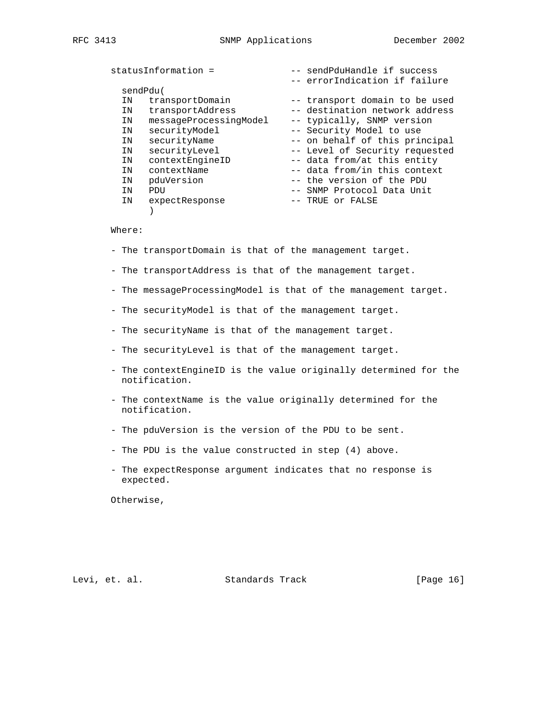|    | statusInformation =    | -- sendPduHandle if success    |
|----|------------------------|--------------------------------|
|    |                        | -- errorIndication if failure  |
|    | sendPdu(               |                                |
| ΙN | transportDomain        | -- transport domain to be used |
| ΙN | transportAddress       | -- destination network address |
| IN | messageProcessingModel | -- typically, SNMP version     |
| ΙN | securityModel          | -- Security Model to use       |
| IN | securityName           | -- on behalf of this principal |
| ΙN | securityLevel          | -- Level of Security requested |
| IN | contextEngineID        | -- data from/at this entity    |
| ΙN | contextName            | -- data from/in this context   |
| ΙN | pduVersion             | -- the version of the PDU      |
| ΙN | PDU                    | -- SNMP Protocol Data Unit     |
| ΙN | expectResponse         | -- TRUE or FALSE               |
|    |                        |                                |

### Where:

- The transportDomain is that of the management target.
- The transportAddress is that of the management target.
- The messageProcessingModel is that of the management target.
- The securityModel is that of the management target.
- The securityName is that of the management target.
- The securityLevel is that of the management target.
- The contextEngineID is the value originally determined for the notification.
- The contextName is the value originally determined for the notification.
- The pduVersion is the version of the PDU to be sent.
- The PDU is the value constructed in step (4) above.
- The expectResponse argument indicates that no response is expected.

Otherwise,

Levi, et. al. Standards Track [Page 16]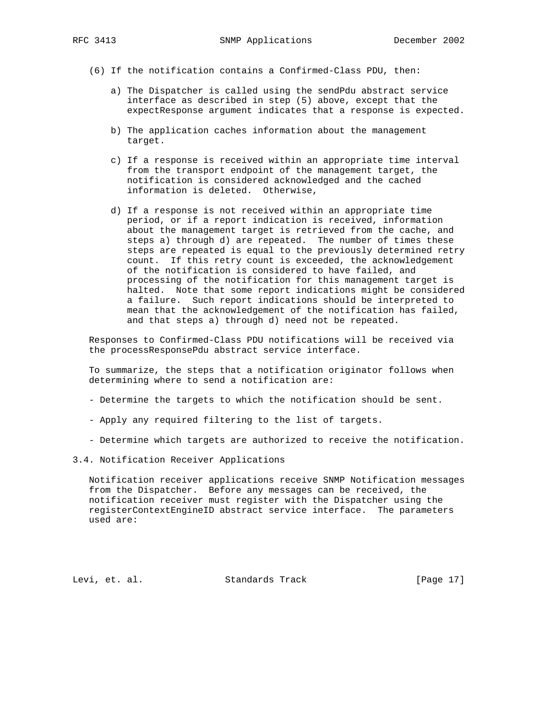- (6) If the notification contains a Confirmed-Class PDU, then:
	- a) The Dispatcher is called using the sendPdu abstract service interface as described in step (5) above, except that the expectResponse argument indicates that a response is expected.
	- b) The application caches information about the management target.
	- c) If a response is received within an appropriate time interval from the transport endpoint of the management target, the notification is considered acknowledged and the cached information is deleted. Otherwise,
	- d) If a response is not received within an appropriate time period, or if a report indication is received, information about the management target is retrieved from the cache, and steps a) through d) are repeated. The number of times these steps are repeated is equal to the previously determined retry count. If this retry count is exceeded, the acknowledgement of the notification is considered to have failed, and processing of the notification for this management target is halted. Note that some report indications might be considered a failure. Such report indications should be interpreted to mean that the acknowledgement of the notification has failed, and that steps a) through d) need not be repeated.

 Responses to Confirmed-Class PDU notifications will be received via the processResponsePdu abstract service interface.

 To summarize, the steps that a notification originator follows when determining where to send a notification are:

- Determine the targets to which the notification should be sent.
- Apply any required filtering to the list of targets.
- Determine which targets are authorized to receive the notification.
- 3.4. Notification Receiver Applications

 Notification receiver applications receive SNMP Notification messages from the Dispatcher. Before any messages can be received, the notification receiver must register with the Dispatcher using the registerContextEngineID abstract service interface. The parameters used are:

Levi, et. al. Standards Track [Page 17]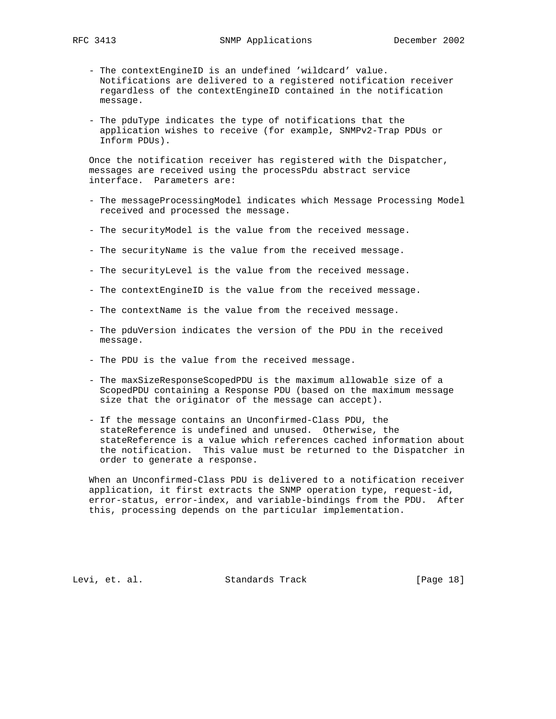- The contextEngineID is an undefined 'wildcard' value. Notifications are delivered to a registered notification receiver regardless of the contextEngineID contained in the notification message.
- The pduType indicates the type of notifications that the application wishes to receive (for example, SNMPv2-Trap PDUs or Inform PDUs).

 Once the notification receiver has registered with the Dispatcher, messages are received using the processPdu abstract service interface. Parameters are:

- The messageProcessingModel indicates which Message Processing Model received and processed the message.
- The securityModel is the value from the received message.
- The securityName is the value from the received message.
- The securityLevel is the value from the received message.
- The contextEngineID is the value from the received message.
- The contextName is the value from the received message.
- The pduVersion indicates the version of the PDU in the received message.
- The PDU is the value from the received message.
- The maxSizeResponseScopedPDU is the maximum allowable size of a ScopedPDU containing a Response PDU (based on the maximum message size that the originator of the message can accept).
- If the message contains an Unconfirmed-Class PDU, the stateReference is undefined and unused. Otherwise, the stateReference is a value which references cached information about the notification. This value must be returned to the Dispatcher in order to generate a response.

 When an Unconfirmed-Class PDU is delivered to a notification receiver application, it first extracts the SNMP operation type, request-id, error-status, error-index, and variable-bindings from the PDU. After this, processing depends on the particular implementation.

Levi, et. al. Standards Track [Page 18]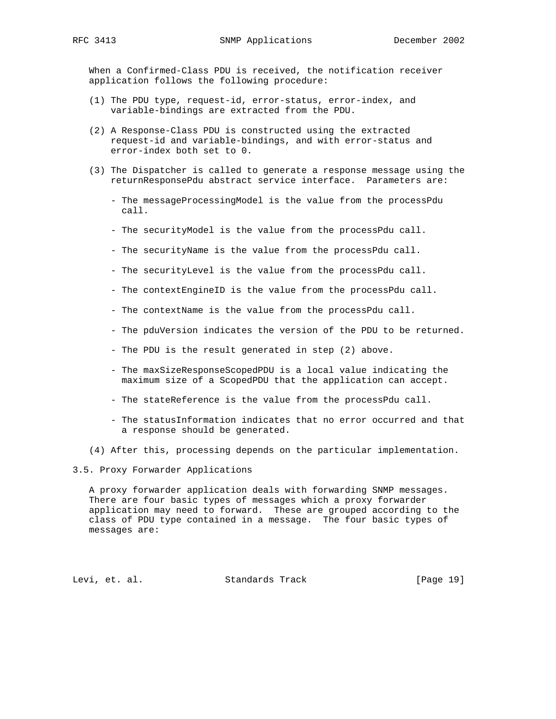When a Confirmed-Class PDU is received, the notification receiver application follows the following procedure:

- (1) The PDU type, request-id, error-status, error-index, and variable-bindings are extracted from the PDU.
- (2) A Response-Class PDU is constructed using the extracted request-id and variable-bindings, and with error-status and error-index both set to 0.
- (3) The Dispatcher is called to generate a response message using the returnResponsePdu abstract service interface. Parameters are:
	- The messageProcessingModel is the value from the processPdu call.
	- The securityModel is the value from the processPdu call.
	- The securityName is the value from the processPdu call.
	- The securityLevel is the value from the processPdu call.
	- The contextEngineID is the value from the processPdu call.
	- The contextName is the value from the processPdu call.
	- The pduVersion indicates the version of the PDU to be returned.
	- The PDU is the result generated in step (2) above.
	- The maxSizeResponseScopedPDU is a local value indicating the maximum size of a ScopedPDU that the application can accept.
	- The stateReference is the value from the processPdu call.
	- The statusInformation indicates that no error occurred and that a response should be generated.
- (4) After this, processing depends on the particular implementation.

3.5. Proxy Forwarder Applications

 A proxy forwarder application deals with forwarding SNMP messages. There are four basic types of messages which a proxy forwarder application may need to forward. These are grouped according to the class of PDU type contained in a message. The four basic types of messages are:

Levi, et. al. Standards Track [Page 19]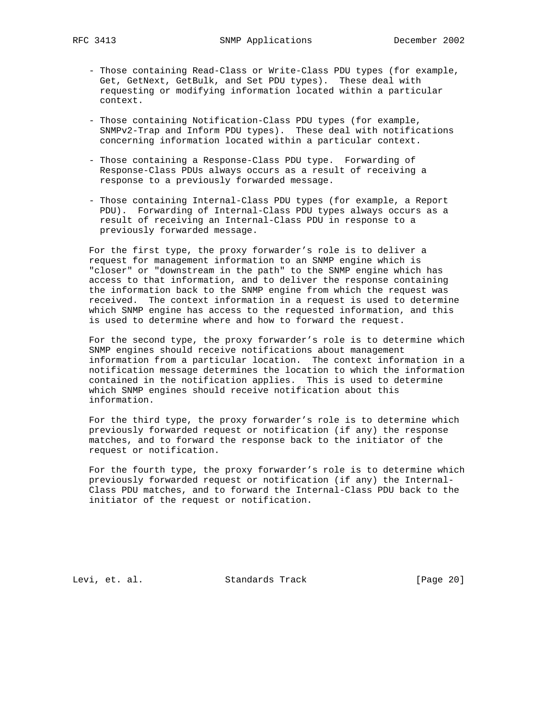- Those containing Read-Class or Write-Class PDU types (for example, Get, GetNext, GetBulk, and Set PDU types). These deal with requesting or modifying information located within a particular context.
- Those containing Notification-Class PDU types (for example, SNMPv2-Trap and Inform PDU types). These deal with notifications concerning information located within a particular context.
- Those containing a Response-Class PDU type. Forwarding of Response-Class PDUs always occurs as a result of receiving a response to a previously forwarded message.
- Those containing Internal-Class PDU types (for example, a Report PDU). Forwarding of Internal-Class PDU types always occurs as a result of receiving an Internal-Class PDU in response to a previously forwarded message.

 For the first type, the proxy forwarder's role is to deliver a request for management information to an SNMP engine which is "closer" or "downstream in the path" to the SNMP engine which has access to that information, and to deliver the response containing the information back to the SNMP engine from which the request was received. The context information in a request is used to determine which SNMP engine has access to the requested information, and this is used to determine where and how to forward the request.

 For the second type, the proxy forwarder's role is to determine which SNMP engines should receive notifications about management information from a particular location. The context information in a notification message determines the location to which the information contained in the notification applies. This is used to determine which SNMP engines should receive notification about this information.

 For the third type, the proxy forwarder's role is to determine which previously forwarded request or notification (if any) the response matches, and to forward the response back to the initiator of the request or notification.

 For the fourth type, the proxy forwarder's role is to determine which previously forwarded request or notification (if any) the Internal- Class PDU matches, and to forward the Internal-Class PDU back to the initiator of the request or notification.

Levi, et. al. Standards Track [Page 20]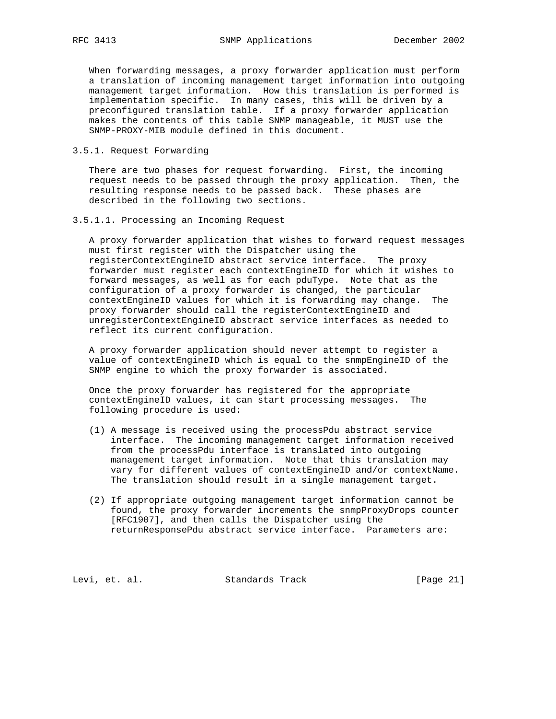When forwarding messages, a proxy forwarder application must perform a translation of incoming management target information into outgoing management target information. How this translation is performed is implementation specific. In many cases, this will be driven by a preconfigured translation table. If a proxy forwarder application makes the contents of this table SNMP manageable, it MUST use the SNMP-PROXY-MIB module defined in this document.

3.5.1. Request Forwarding

 There are two phases for request forwarding. First, the incoming request needs to be passed through the proxy application. Then, the resulting response needs to be passed back. These phases are described in the following two sections.

3.5.1.1. Processing an Incoming Request

 A proxy forwarder application that wishes to forward request messages must first register with the Dispatcher using the registerContextEngineID abstract service interface. The proxy forwarder must register each contextEngineID for which it wishes to forward messages, as well as for each pduType. Note that as the configuration of a proxy forwarder is changed, the particular contextEngineID values for which it is forwarding may change. The proxy forwarder should call the registerContextEngineID and unregisterContextEngineID abstract service interfaces as needed to reflect its current configuration.

 A proxy forwarder application should never attempt to register a value of contextEngineID which is equal to the snmpEngineID of the SNMP engine to which the proxy forwarder is associated.

 Once the proxy forwarder has registered for the appropriate contextEngineID values, it can start processing messages. The following procedure is used:

- (1) A message is received using the processPdu abstract service interface. The incoming management target information received from the processPdu interface is translated into outgoing management target information. Note that this translation may vary for different values of contextEngineID and/or contextName. The translation should result in a single management target.
- (2) If appropriate outgoing management target information cannot be found, the proxy forwarder increments the snmpProxyDrops counter [RFC1907], and then calls the Dispatcher using the returnResponsePdu abstract service interface. Parameters are:

Levi, et. al. Standards Track [Page 21]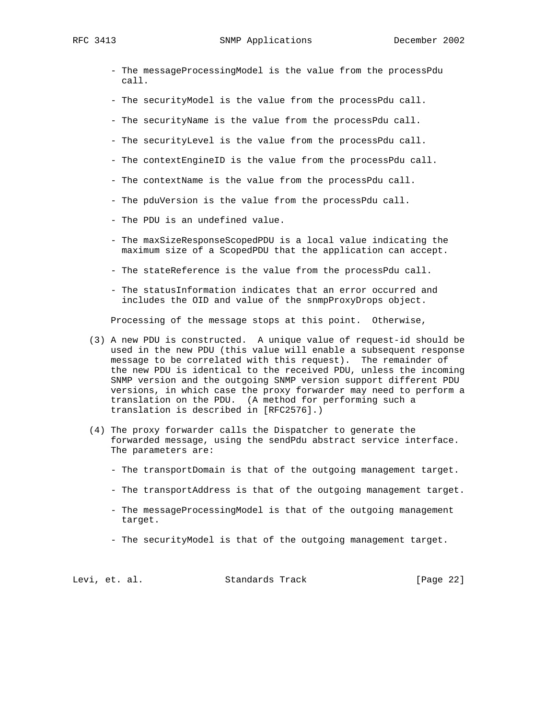RFC 3413 SNMP Applications December 2002

- The messageProcessingModel is the value from the processPdu call.
- The securityModel is the value from the processPdu call.
- The securityName is the value from the processPdu call.
- The securityLevel is the value from the processPdu call.
- The contextEngineID is the value from the processPdu call.
- The contextName is the value from the processPdu call.
- The pduVersion is the value from the processPdu call.
- The PDU is an undefined value.
- The maxSizeResponseScopedPDU is a local value indicating the maximum size of a ScopedPDU that the application can accept.
- The stateReference is the value from the processPdu call.
- The statusInformation indicates that an error occurred and includes the OID and value of the snmpProxyDrops object.

Processing of the message stops at this point. Otherwise,

- (3) A new PDU is constructed. A unique value of request-id should be used in the new PDU (this value will enable a subsequent response message to be correlated with this request). The remainder of the new PDU is identical to the received PDU, unless the incoming SNMP version and the outgoing SNMP version support different PDU versions, in which case the proxy forwarder may need to perform a translation on the PDU. (A method for performing such a translation is described in [RFC2576].)
- (4) The proxy forwarder calls the Dispatcher to generate the forwarded message, using the sendPdu abstract service interface. The parameters are:
	- The transportDomain is that of the outgoing management target.
	- The transportAddress is that of the outgoing management target.
	- The messageProcessingModel is that of the outgoing management target.
	- The securityModel is that of the outgoing management target.

Levi, et. al. Standards Track [Page 22]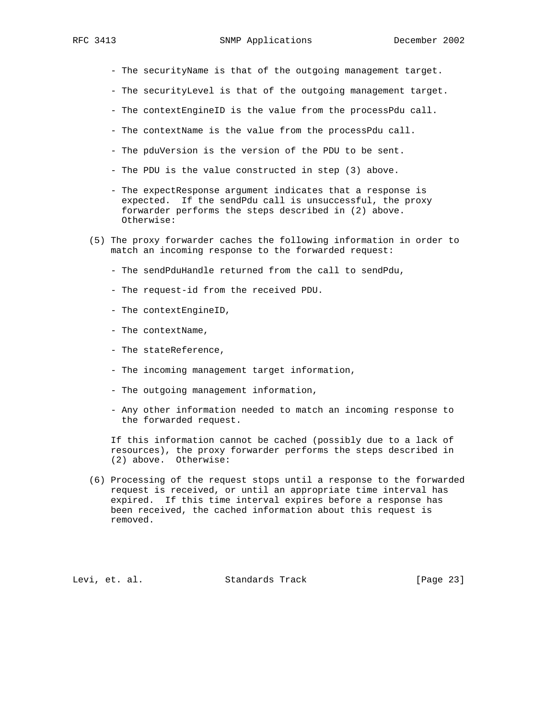- The securityName is that of the outgoing management target.

- The securityLevel is that of the outgoing management target.
- The contextEngineID is the value from the processPdu call.
- The contextName is the value from the processPdu call.
- The pduVersion is the version of the PDU to be sent.
- The PDU is the value constructed in step (3) above.
- The expectResponse argument indicates that a response is expected. If the sendPdu call is unsuccessful, the proxy forwarder performs the steps described in (2) above. Otherwise:
- (5) The proxy forwarder caches the following information in order to match an incoming response to the forwarded request:
	- The sendPduHandle returned from the call to sendPdu,
	- The request-id from the received PDU.
	- The contextEngineID,
	- The contextName,
	- The stateReference,
	- The incoming management target information,
	- The outgoing management information,
	- Any other information needed to match an incoming response to the forwarded request.

 If this information cannot be cached (possibly due to a lack of resources), the proxy forwarder performs the steps described in (2) above. Otherwise:

 (6) Processing of the request stops until a response to the forwarded request is received, or until an appropriate time interval has expired. If this time interval expires before a response has been received, the cached information about this request is removed.

Levi, et. al. Standards Track [Page 23]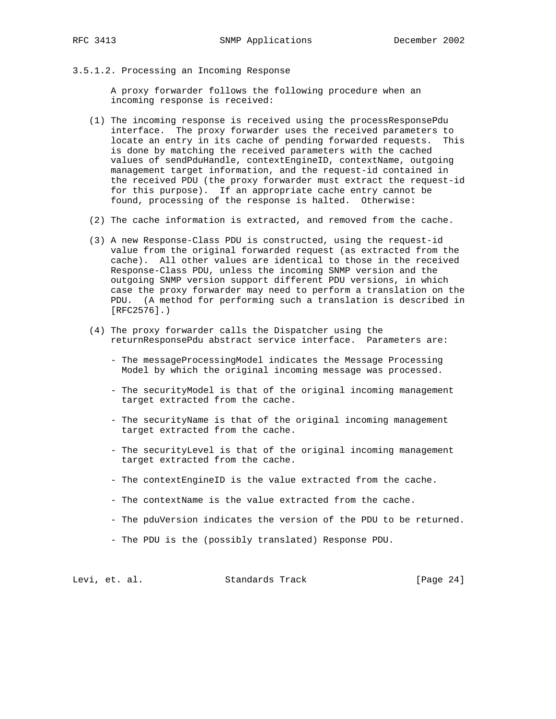3.5.1.2. Processing an Incoming Response

 A proxy forwarder follows the following procedure when an incoming response is received:

- (1) The incoming response is received using the processResponsePdu interface. The proxy forwarder uses the received parameters to locate an entry in its cache of pending forwarded requests. This is done by matching the received parameters with the cached values of sendPduHandle, contextEngineID, contextName, outgoing management target information, and the request-id contained in the received PDU (the proxy forwarder must extract the request-id for this purpose). If an appropriate cache entry cannot be found, processing of the response is halted. Otherwise:
- (2) The cache information is extracted, and removed from the cache.
- (3) A new Response-Class PDU is constructed, using the request-id value from the original forwarded request (as extracted from the cache). All other values are identical to those in the received Response-Class PDU, unless the incoming SNMP version and the outgoing SNMP version support different PDU versions, in which case the proxy forwarder may need to perform a translation on the PDU. (A method for performing such a translation is described in [RFC2576].)
- (4) The proxy forwarder calls the Dispatcher using the returnResponsePdu abstract service interface. Parameters are:
	- The messageProcessingModel indicates the Message Processing Model by which the original incoming message was processed.
	- The securityModel is that of the original incoming management target extracted from the cache.
	- The securityName is that of the original incoming management target extracted from the cache.
	- The securityLevel is that of the original incoming management target extracted from the cache.
	- The contextEngineID is the value extracted from the cache.
	- The contextName is the value extracted from the cache.
	- The pduVersion indicates the version of the PDU to be returned.
	- The PDU is the (possibly translated) Response PDU.

Levi, et. al. Standards Track [Page 24]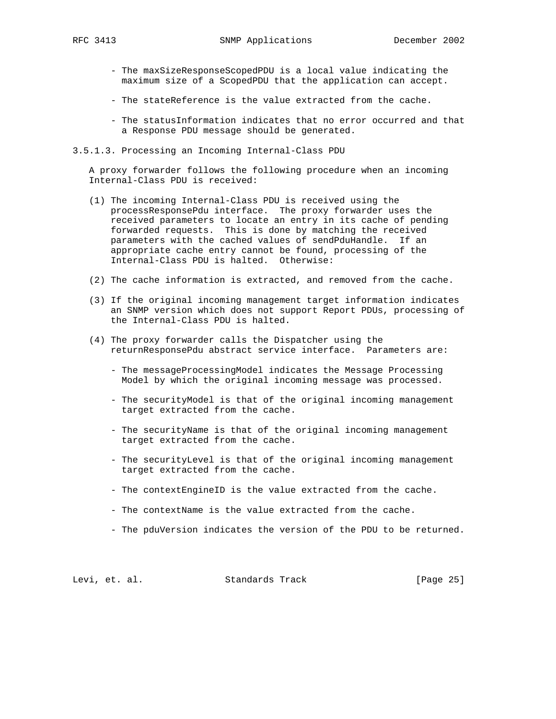- The maxSizeResponseScopedPDU is a local value indicating the maximum size of a ScopedPDU that the application can accept.
- The stateReference is the value extracted from the cache.
- The statusInformation indicates that no error occurred and that a Response PDU message should be generated.
- 3.5.1.3. Processing an Incoming Internal-Class PDU

 A proxy forwarder follows the following procedure when an incoming Internal-Class PDU is received:

- (1) The incoming Internal-Class PDU is received using the processResponsePdu interface. The proxy forwarder uses the received parameters to locate an entry in its cache of pending forwarded requests. This is done by matching the received parameters with the cached values of sendPduHandle. If an appropriate cache entry cannot be found, processing of the Internal-Class PDU is halted. Otherwise:
- (2) The cache information is extracted, and removed from the cache.
- (3) If the original incoming management target information indicates an SNMP version which does not support Report PDUs, processing of the Internal-Class PDU is halted.
- (4) The proxy forwarder calls the Dispatcher using the returnResponsePdu abstract service interface. Parameters are:
	- The messageProcessingModel indicates the Message Processing Model by which the original incoming message was processed.
	- The securityModel is that of the original incoming management target extracted from the cache.
	- The securityName is that of the original incoming management target extracted from the cache.
	- The securityLevel is that of the original incoming management target extracted from the cache.
	- The contextEngineID is the value extracted from the cache.
	- The contextName is the value extracted from the cache.
	- The pduVersion indicates the version of the PDU to be returned.

Levi, et. al. Standards Track [Page 25]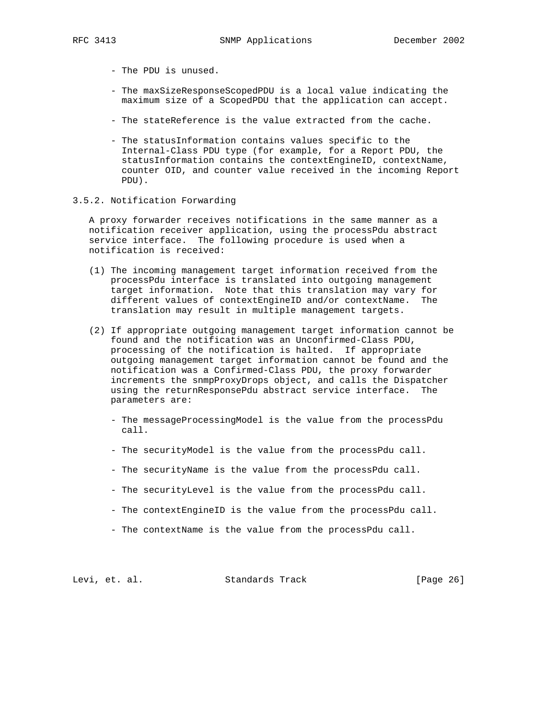- The PDU is unused.
- The maxSizeResponseScopedPDU is a local value indicating the maximum size of a ScopedPDU that the application can accept.
- The stateReference is the value extracted from the cache.
- The statusInformation contains values specific to the Internal-Class PDU type (for example, for a Report PDU, the statusInformation contains the contextEngineID, contextName, counter OID, and counter value received in the incoming Report PDU).
- 3.5.2. Notification Forwarding

 A proxy forwarder receives notifications in the same manner as a notification receiver application, using the processPdu abstract service interface. The following procedure is used when a notification is received:

- (1) The incoming management target information received from the processPdu interface is translated into outgoing management target information. Note that this translation may vary for different values of contextEngineID and/or contextName. The translation may result in multiple management targets.
- (2) If appropriate outgoing management target information cannot be found and the notification was an Unconfirmed-Class PDU, processing of the notification is halted. If appropriate outgoing management target information cannot be found and the notification was a Confirmed-Class PDU, the proxy forwarder increments the snmpProxyDrops object, and calls the Dispatcher using the returnResponsePdu abstract service interface. The parameters are:
	- The messageProcessingModel is the value from the processPdu call.
	- The securityModel is the value from the processPdu call.
	- The securityName is the value from the processPdu call.
	- The securityLevel is the value from the processPdu call.
	- The contextEngineID is the value from the processPdu call.
	- The contextName is the value from the processPdu call.

Levi, et. al. Standards Track [Page 26]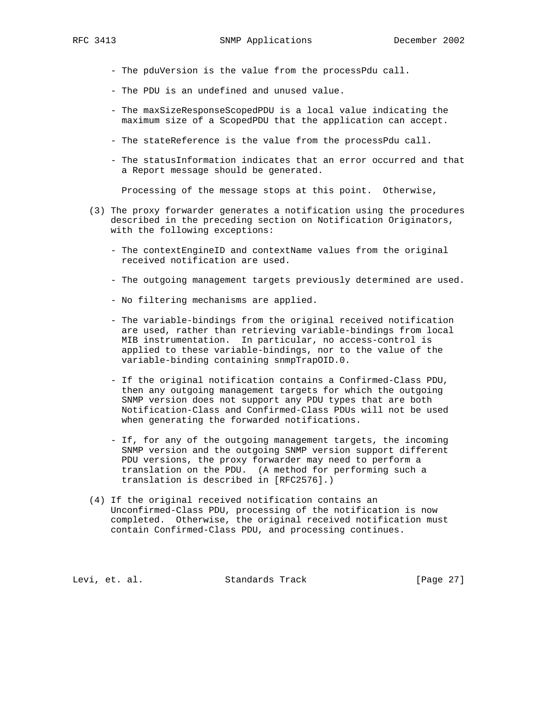- The pduVersion is the value from the processPdu call.
- The PDU is an undefined and unused value.
- The maxSizeResponseScopedPDU is a local value indicating the maximum size of a ScopedPDU that the application can accept.
- The stateReference is the value from the processPdu call.
- The statusInformation indicates that an error occurred and that a Report message should be generated.

Processing of the message stops at this point. Otherwise,

- (3) The proxy forwarder generates a notification using the procedures described in the preceding section on Notification Originators, with the following exceptions:
	- The contextEngineID and contextName values from the original received notification are used.
	- The outgoing management targets previously determined are used.
	- No filtering mechanisms are applied.
	- The variable-bindings from the original received notification are used, rather than retrieving variable-bindings from local MIB instrumentation. In particular, no access-control is applied to these variable-bindings, nor to the value of the variable-binding containing snmpTrapOID.0.
	- If the original notification contains a Confirmed-Class PDU, then any outgoing management targets for which the outgoing SNMP version does not support any PDU types that are both Notification-Class and Confirmed-Class PDUs will not be used when generating the forwarded notifications.
	- If, for any of the outgoing management targets, the incoming SNMP version and the outgoing SNMP version support different PDU versions, the proxy forwarder may need to perform a translation on the PDU. (A method for performing such a translation is described in [RFC2576].)
- (4) If the original received notification contains an Unconfirmed-Class PDU, processing of the notification is now completed. Otherwise, the original received notification must contain Confirmed-Class PDU, and processing continues.

Levi, et. al. Standards Track [Page 27]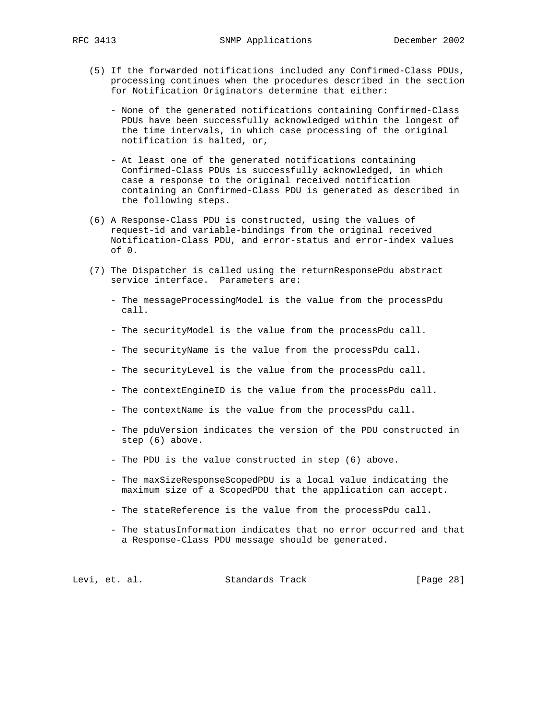- (5) If the forwarded notifications included any Confirmed-Class PDUs, processing continues when the procedures described in the section for Notification Originators determine that either:
	- None of the generated notifications containing Confirmed-Class PDUs have been successfully acknowledged within the longest of the time intervals, in which case processing of the original notification is halted, or,
	- At least one of the generated notifications containing Confirmed-Class PDUs is successfully acknowledged, in which case a response to the original received notification containing an Confirmed-Class PDU is generated as described in the following steps.
- (6) A Response-Class PDU is constructed, using the values of request-id and variable-bindings from the original received Notification-Class PDU, and error-status and error-index values of 0.
- (7) The Dispatcher is called using the returnResponsePdu abstract service interface. Parameters are:
	- The messageProcessingModel is the value from the processPdu call.
	- The securityModel is the value from the processPdu call.
	- The securityName is the value from the processPdu call.
	- The securityLevel is the value from the processPdu call.
	- The contextEngineID is the value from the processPdu call.
	- The contextName is the value from the processPdu call.
	- The pduVersion indicates the version of the PDU constructed in step (6) above.
	- The PDU is the value constructed in step (6) above.
	- The maxSizeResponseScopedPDU is a local value indicating the maximum size of a ScopedPDU that the application can accept.
	- The stateReference is the value from the processPdu call.
	- The statusInformation indicates that no error occurred and that a Response-Class PDU message should be generated.

Levi, et. al. Standards Track [Page 28]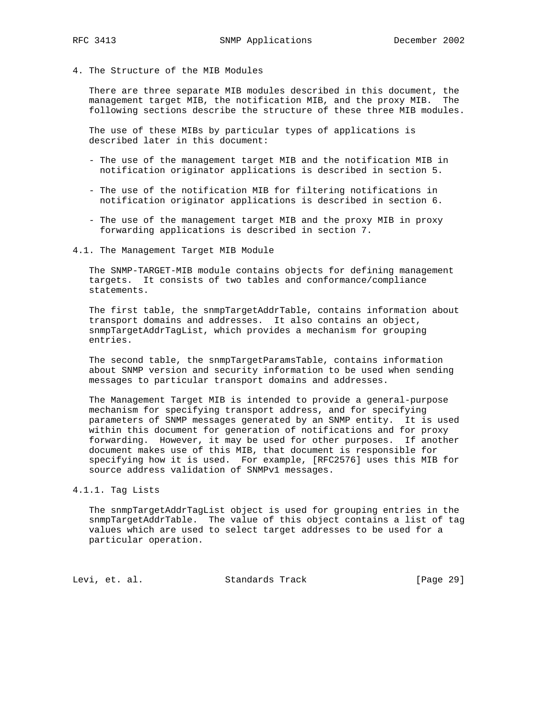4. The Structure of the MIB Modules

 There are three separate MIB modules described in this document, the management target MIB, the notification MIB, and the proxy MIB. The following sections describe the structure of these three MIB modules.

 The use of these MIBs by particular types of applications is described later in this document:

- The use of the management target MIB and the notification MIB in notification originator applications is described in section 5.
- The use of the notification MIB for filtering notifications in notification originator applications is described in section 6.
- The use of the management target MIB and the proxy MIB in proxy forwarding applications is described in section 7.

#### 4.1. The Management Target MIB Module

 The SNMP-TARGET-MIB module contains objects for defining management targets. It consists of two tables and conformance/compliance statements.

 The first table, the snmpTargetAddrTable, contains information about transport domains and addresses. It also contains an object, snmpTargetAddrTagList, which provides a mechanism for grouping entries.

 The second table, the snmpTargetParamsTable, contains information about SNMP version and security information to be used when sending messages to particular transport domains and addresses.

 The Management Target MIB is intended to provide a general-purpose mechanism for specifying transport address, and for specifying parameters of SNMP messages generated by an SNMP entity. It is used within this document for generation of notifications and for proxy forwarding. However, it may be used for other purposes. If another document makes use of this MIB, that document is responsible for specifying how it is used. For example, [RFC2576] uses this MIB for source address validation of SNMPv1 messages.

4.1.1. Tag Lists

 The snmpTargetAddrTagList object is used for grouping entries in the snmpTargetAddrTable. The value of this object contains a list of tag values which are used to select target addresses to be used for a particular operation.

Levi, et. al. Standards Track [Page 29]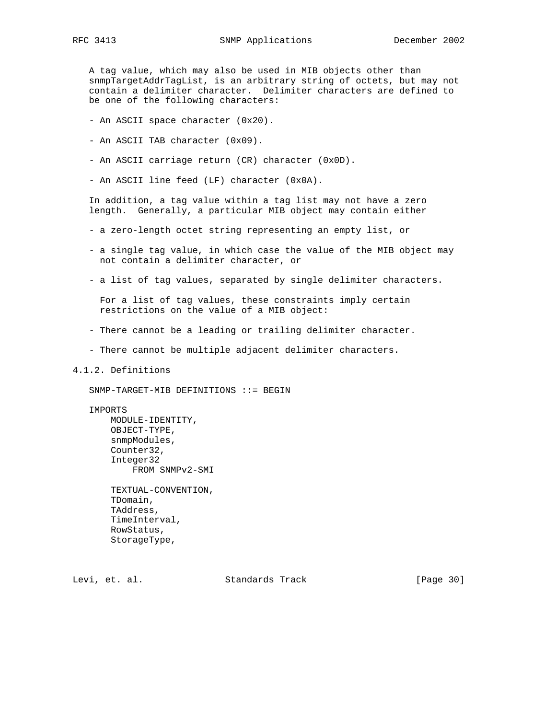A tag value, which may also be used in MIB objects other than snmpTargetAddrTagList, is an arbitrary string of octets, but may not contain a delimiter character. Delimiter characters are defined to be one of the following characters:

- An ASCII space character (0x20).
- An ASCII TAB character (0x09).
- An ASCII carriage return (CR) character (0x0D).
- An ASCII line feed (LF) character (0x0A).

 In addition, a tag value within a tag list may not have a zero length. Generally, a particular MIB object may contain either

- a zero-length octet string representing an empty list, or
- a single tag value, in which case the value of the MIB object may not contain a delimiter character, or
- a list of tag values, separated by single delimiter characters.

 For a list of tag values, these constraints imply certain restrictions on the value of a MIB object:

- There cannot be a leading or trailing delimiter character.
- There cannot be multiple adjacent delimiter characters.
- 4.1.2. Definitions

SNMP-TARGET-MIB DEFINITIONS ::= BEGIN

IMPORTS

 MODULE-IDENTITY, OBJECT-TYPE, snmpModules, Counter32, Integer32 FROM SNMPv2-SMI

 TEXTUAL-CONVENTION, TDomain, TAddress, TimeInterval, RowStatus, StorageType,

Levi, et. al. Standards Track [Page 30]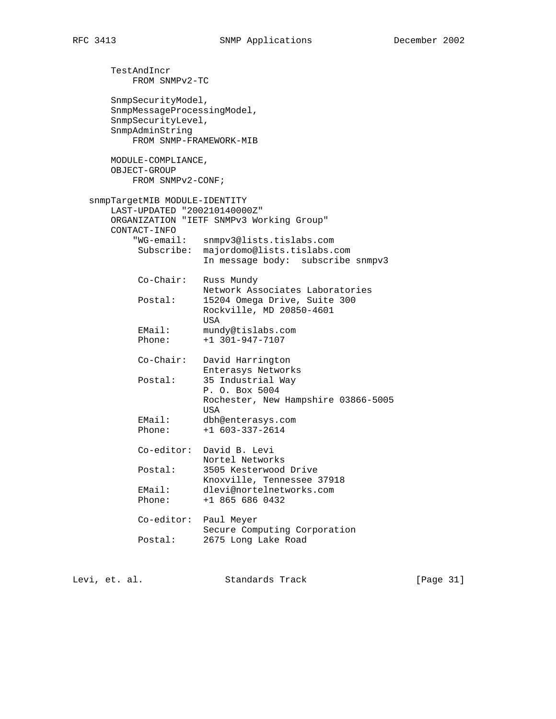TestAndIncr FROM SNMPv2-TC SnmpSecurityModel, SnmpMessageProcessingModel, SnmpSecurityLevel, SnmpAdminString FROM SNMP-FRAMEWORK-MIB MODULE-COMPLIANCE, OBJECT-GROUP FROM SNMPv2-CONF; snmpTargetMIB MODULE-IDENTITY LAST-UPDATED "200210140000Z" ORGANIZATION "IETF SNMPv3 Working Group" CONTACT-INFO "WG-email: snmpv3@lists.tislabs.com Subscribe: majordomo@lists.tislabs.com In message body: subscribe snmpv3 Co-Chair: Russ Mundy Network Associates Laboratories Postal: 15204 Omega Drive, Suite 300 Rockville, MD 20850-4601 **USA**  EMail: mundy@tislabs.com Phone: +1 301-947-7107 Co-Chair: David Harrington Enterasys Networks Postal: 35 Industrial Way P. O. Box 5004 Rochester, New Hampshire 03866-5005 **USA**  EMail: dbh@enterasys.com Phone: +1 603-337-2614 Co-editor: David B. Levi Nortel Networks Postal: 3505 Kesterwood Drive Knoxville, Tennessee 37918 EMail: dlevi@nortelnetworks.com Phone: +1 865 686 0432 Co-editor: Paul Meyer Secure Computing Corporation Postal: 2675 Long Lake Road

Levi, et. al. Standards Track [Page 31]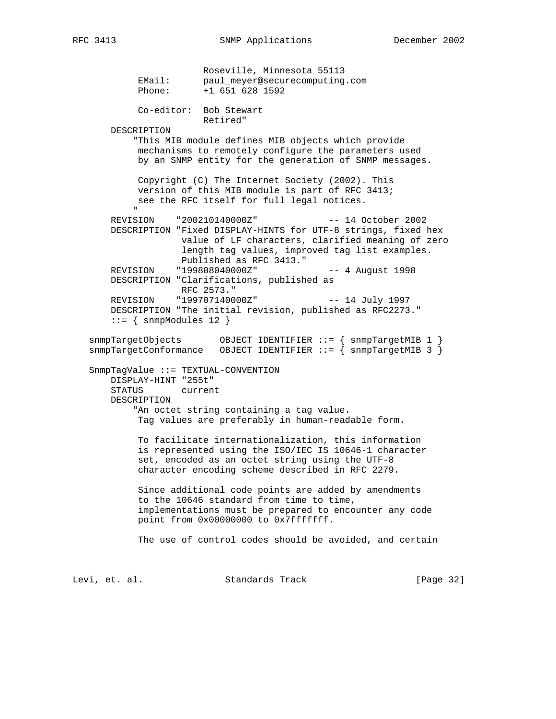Roseville, Minnesota 55113 EMail: paul\_meyer@securecomputing.com Phone: +1 651 628 1592 Co-editor: Bob Stewart Retired" DESCRIPTION "This MIB module defines MIB objects which provide mechanisms to remotely configure the parameters used by an SNMP entity for the generation of SNMP messages. Copyright (C) The Internet Society (2002). This version of this MIB module is part of RFC 3413; see the RFC itself for full legal notices. " "The Contract of the Contract of the Contract of the Contract of the Contract of the Contract of the Contract of the Contract of the Contract of the Contract of the Contract of the Contract of the Contract of the Contrac REVISION "200210140000Z" -- 14 October 2002 DESCRIPTION "Fixed DISPLAY-HINTS for UTF-8 strings, fixed hex value of LF characters, clarified meaning of zero length tag values, improved tag list examples. Published as RFC 3413." REVISION "199808040000Z" -- 4 August 1998 DESCRIPTION "Clarifications, published as RFC 2573." REVISION "199707140000Z" -- 14 July 1997 DESCRIPTION "The initial revision, published as RFC2273."  $::=$  { snmpModules 12 } snmpTargetObjects OBJECT IDENTIFIER ::= { snmpTargetMIB 1 } snmpTargetConformance OBJECT IDENTIFIER ::= { snmpTargetMIB 3 } SnmpTagValue ::= TEXTUAL-CONVENTION DISPLAY-HINT "255t" STATUS current DESCRIPTION "An octet string containing a tag value. Tag values are preferably in human-readable form. To facilitate internationalization, this information is represented using the ISO/IEC IS 10646-1 character set, encoded as an octet string using the UTF-8 character encoding scheme described in RFC 2279. Since additional code points are added by amendments to the 10646 standard from time to time, implementations must be prepared to encounter any code point from 0x00000000 to 0x7fffffff. The use of control codes should be avoided, and certain

Levi, et. al. Standards Track [Page 32]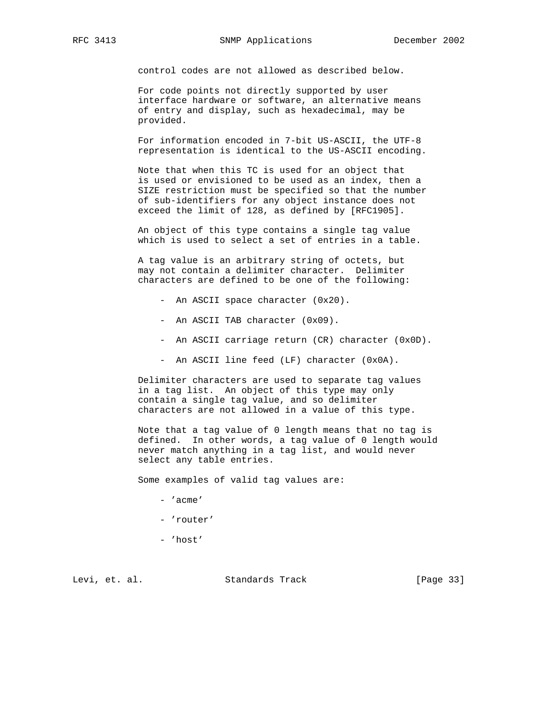control codes are not allowed as described below.

 For code points not directly supported by user interface hardware or software, an alternative means of entry and display, such as hexadecimal, may be provided.

 For information encoded in 7-bit US-ASCII, the UTF-8 representation is identical to the US-ASCII encoding.

 Note that when this TC is used for an object that is used or envisioned to be used as an index, then a SIZE restriction must be specified so that the number of sub-identifiers for any object instance does not exceed the limit of 128, as defined by [RFC1905].

 An object of this type contains a single tag value which is used to select a set of entries in a table.

 A tag value is an arbitrary string of octets, but may not contain a delimiter character. Delimiter characters are defined to be one of the following:

- An ASCII space character (0x20).
- An ASCII TAB character (0x09).
- An ASCII carriage return (CR) character (0x0D).
- An ASCII line feed (LF) character (0x0A).

 Delimiter characters are used to separate tag values in a tag list. An object of this type may only contain a single tag value, and so delimiter characters are not allowed in a value of this type.

 Note that a tag value of 0 length means that no tag is defined. In other words, a tag value of 0 length would never match anything in a tag list, and would never select any table entries.

Some examples of valid tag values are:

- 'acme'
- 'router'
- 'host'

Levi, et. al. Standards Track [Page 33]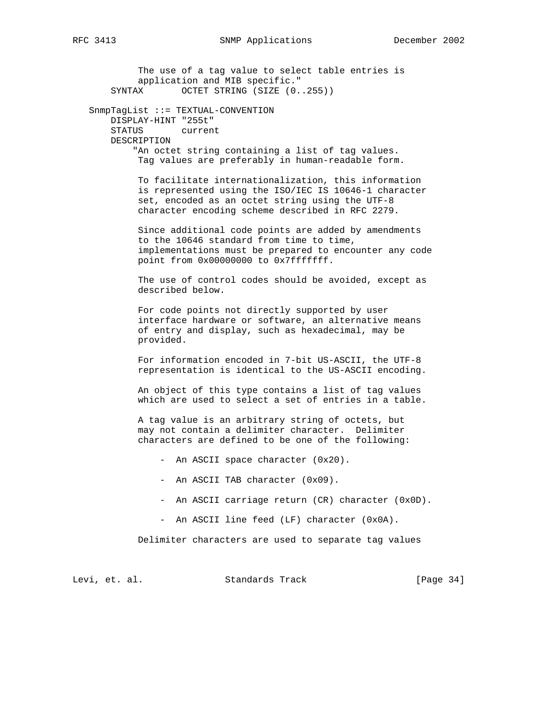The use of a tag value to select table entries is application and MIB specific." SYNTAX OCTET STRING (SIZE  $(0..255)$ ) SnmpTagList ::= TEXTUAL-CONVENTION DISPLAY-HINT "255t" STATUS current DESCRIPTION "An octet string containing a list of tag values. Tag values are preferably in human-readable form. To facilitate internationalization, this information is represented using the ISO/IEC IS 10646-1 character set, encoded as an octet string using the UTF-8 character encoding scheme described in RFC 2279. Since additional code points are added by amendments to the 10646 standard from time to time, implementations must be prepared to encounter any code point from 0x00000000 to 0x7fffffff. The use of control codes should be avoided, except as described below. For code points not directly supported by user interface hardware or software, an alternative means of entry and display, such as hexadecimal, may be provided. For information encoded in 7-bit US-ASCII, the UTF-8 representation is identical to the US-ASCII encoding. An object of this type contains a list of tag values which are used to select a set of entries in a table. A tag value is an arbitrary string of octets, but may not contain a delimiter character. Delimiter characters are defined to be one of the following: - An ASCII space character (0x20). - An ASCII TAB character (0x09). - An ASCII carriage return (CR) character (0x0D). - An ASCII line feed (LF) character (0x0A). Delimiter characters are used to separate tag values Levi, et. al. Standards Track [Page 34]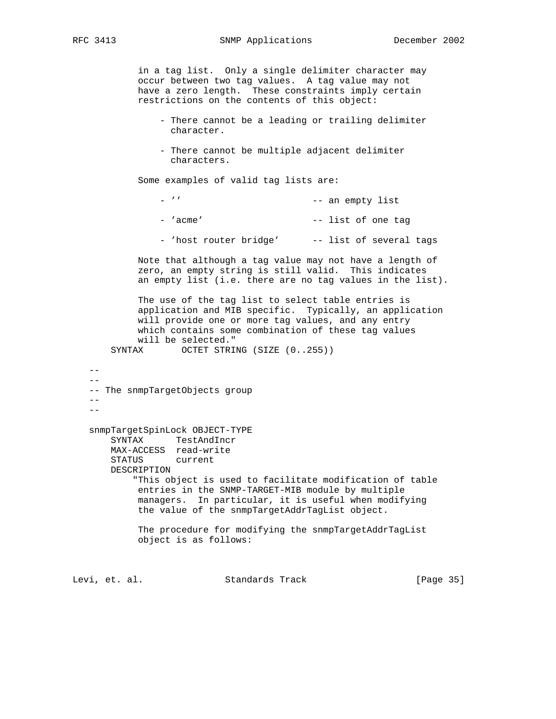in a tag list. Only a single delimiter character may occur between two tag values. A tag value may not have a zero length. These constraints imply certain restrictions on the contents of this object:

- There cannot be a leading or trailing delimiter character.
- There cannot be multiple adjacent delimiter characters.

Some examples of valid tag lists are:

| $ \prime$ $\prime$     | -- an empty list        |
|------------------------|-------------------------|
| - 'acme'               | -- list of one tag      |
| - 'host router bridge' | -- list of several tags |

 Note that although a tag value may not have a length of zero, an empty string is still valid. This indicates an empty list (i.e. there are no tag values in the list).

 The use of the tag list to select table entries is application and MIB specific. Typically, an application will provide one or more tag values, and any entry which contains some combination of these tag values will be selected."

SYNTAX OCTET STRING (SIZE  $(0..255)$ )

 $-$  -- The snmpTargetObjects group  $-$  snmpTargetSpinLock OBJECT-TYPE SYNTAX TestAndIncr MAX-ACCESS read-write STATUS current DESCRIPTION "This object is used to facilitate modification of table entries in the SNMP-TARGET-MIB module by multiple managers. In particular, it is useful when modifying the value of the snmpTargetAddrTagList object. The procedure for modifying the snmpTargetAddrTagList object is as follows:

Levi, et. al. Standards Track [Page 35]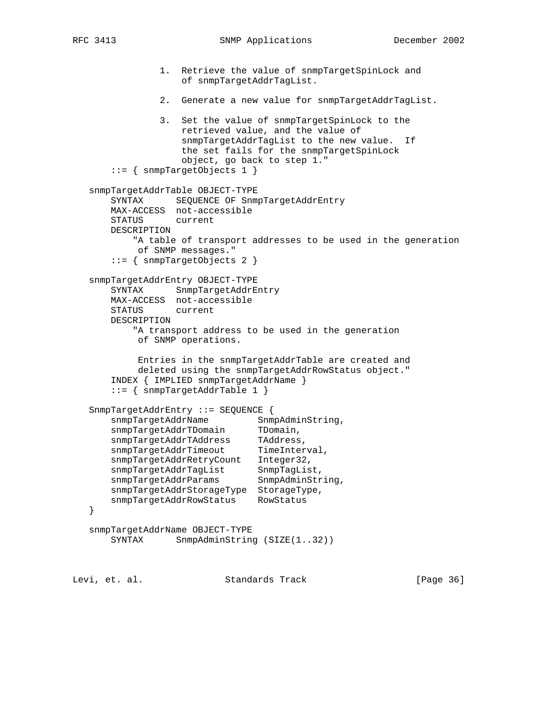1. Retrieve the value of snmpTargetSpinLock and of snmpTargetAddrTagList. 2. Generate a new value for snmpTargetAddrTagList. 3. Set the value of snmpTargetSpinLock to the retrieved value, and the value of snmpTargetAddrTagList to the new value. If the set fails for the snmpTargetSpinLock object, go back to step 1." ::= { snmpTargetObjects 1 } snmpTargetAddrTable OBJECT-TYPE SYNTAX SEQUENCE OF SnmpTargetAddrEntry MAX-ACCESS not-accessible STATUS current DESCRIPTION "A table of transport addresses to be used in the generation of SNMP messages." ::= { snmpTargetObjects 2 } snmpTargetAddrEntry OBJECT-TYPE SYNTAX SnmpTargetAddrEntry MAX-ACCESS not-accessible STATUS current DESCRIPTION "A transport address to be used in the generation of SNMP operations. Entries in the snmpTargetAddrTable are created and deleted using the snmpTargetAddrRowStatus object." INDEX { IMPLIED snmpTargetAddrName } ::= { snmpTargetAddrTable 1 } SnmpTargetAddrEntry ::= SEQUENCE { snmpTargetAddrName SnmpAdminString,<br>snmpTargetAddrTDomain TDomain, snmpTargetAddrTDomain TDomain, snmpTargetAddrTAddress TAddress, snmpTargetAddrTimeout TimeInterval, snmpTargetAddrRetryCount Integer32, snmpTargetAddrTagList SnmpTagList, snmpTargetAddrParams SnmpAdminString, snmpTargetAddrStorageType StorageType, snmpTargetAddrRowStatus RowStatus } snmpTargetAddrName OBJECT-TYPE SYNTAX SnmpAdminString (SIZE(1..32))

Levi, et. al. Standards Track [Page 36]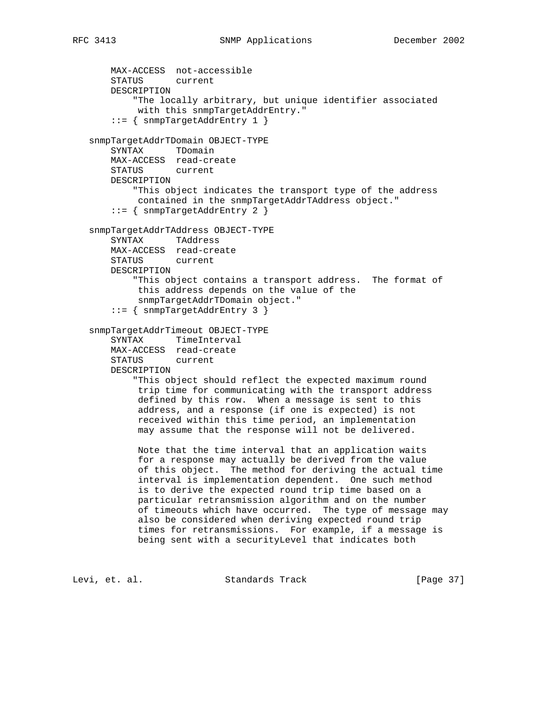```
 MAX-ACCESS not-accessible
    STATUS current
    DESCRIPTION
         "The locally arbitrary, but unique identifier associated
         with this snmpTargetAddrEntry."
     ::= { snmpTargetAddrEntry 1 }
 snmpTargetAddrTDomain OBJECT-TYPE
    SYNTAX TDomain
    MAX-ACCESS read-create
    STATUS current
    DESCRIPTION
         "This object indicates the transport type of the address
         contained in the snmpTargetAddrTAddress object."
     ::= { snmpTargetAddrEntry 2 }
 snmpTargetAddrTAddress OBJECT-TYPE
    SYNTAX TAddress
    MAX-ACCESS read-create
    STATUS current
    DESCRIPTION
         "This object contains a transport address. The format of
         this address depends on the value of the
         snmpTargetAddrTDomain object."
     ::= { snmpTargetAddrEntry 3 }
 snmpTargetAddrTimeout OBJECT-TYPE
    SYNTAX TimeInterval
    MAX-ACCESS read-create
    STATUS current
    DESCRIPTION
         "This object should reflect the expected maximum round
         trip time for communicating with the transport address
         defined by this row. When a message is sent to this
         address, and a response (if one is expected) is not
         received within this time period, an implementation
         may assume that the response will not be delivered.
         Note that the time interval that an application waits
         for a response may actually be derived from the value
         of this object. The method for deriving the actual time
         interval is implementation dependent. One such method
         is to derive the expected round trip time based on a
         particular retransmission algorithm and on the number
         of timeouts which have occurred. The type of message may
         also be considered when deriving expected round trip
         times for retransmissions. For example, if a message is
         being sent with a securityLevel that indicates both
```
Levi, et. al. Standards Track [Page 37]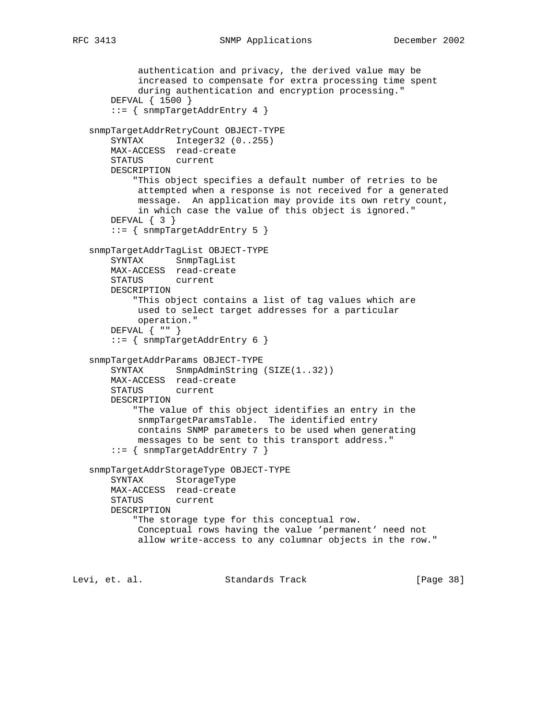```
 authentication and privacy, the derived value may be
         increased to compensate for extra processing time spent
         during authentication and encryption processing."
     DEFVAL { 1500 }
     ::= { snmpTargetAddrEntry 4 }
 snmpTargetAddrRetryCount OBJECT-TYPE
   SYNTAX Integer32 (0..255)
    MAX-ACCESS read-create
    STATUS current
    DESCRIPTION
         "This object specifies a default number of retries to be
         attempted when a response is not received for a generated
         message. An application may provide its own retry count,
         in which case the value of this object is ignored."
    DEFVAL { 3 }
     ::= { snmpTargetAddrEntry 5 }
 snmpTargetAddrTagList OBJECT-TYPE
    SYNTAX SnmpTagList
    MAX-ACCESS read-create
    STATUS current
    DESCRIPTION
         "This object contains a list of tag values which are
         used to select target addresses for a particular
         operation."
    DEFVAL { "" }
     ::= { snmpTargetAddrEntry 6 }
 snmpTargetAddrParams OBJECT-TYPE
   SYNTAX SnmpAdminString (SIZE(1..32))
    MAX-ACCESS read-create
    STATUS current
    DESCRIPTION
         "The value of this object identifies an entry in the
         snmpTargetParamsTable. The identified entry
         contains SNMP parameters to be used when generating
         messages to be sent to this transport address."
     ::= { snmpTargetAddrEntry 7 }
 snmpTargetAddrStorageType OBJECT-TYPE
    SYNTAX StorageType
    MAX-ACCESS read-create
    STATUS current
    DESCRIPTION
         "The storage type for this conceptual row.
         Conceptual rows having the value 'permanent' need not
         allow write-access to any columnar objects in the row."
```
Levi, et. al. Standards Track [Page 38]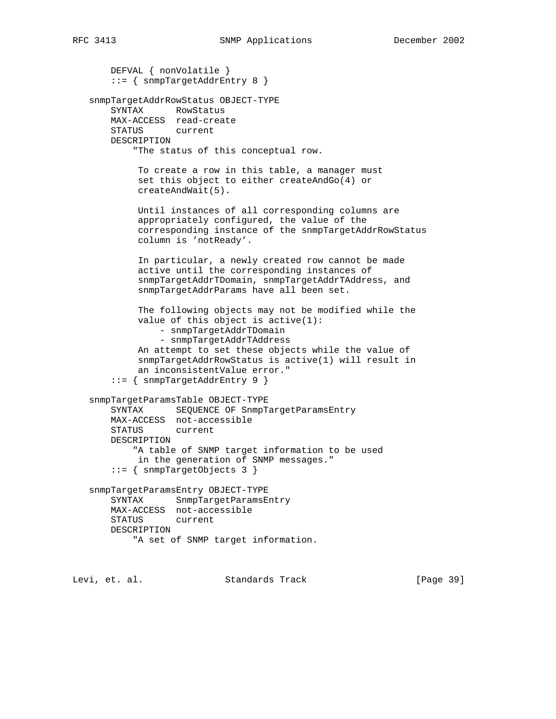```
 DEFVAL { nonVolatile }
     ::= { snmpTargetAddrEntry 8 }
 snmpTargetAddrRowStatus OBJECT-TYPE
    SYNTAX RowStatus
    MAX-ACCESS read-create
    STATUS current
    DESCRIPTION
         "The status of this conceptual row.
          To create a row in this table, a manager must
          set this object to either createAndGo(4) or
          createAndWait(5).
          Until instances of all corresponding columns are
          appropriately configured, the value of the
          corresponding instance of the snmpTargetAddrRowStatus
          column is 'notReady'.
          In particular, a newly created row cannot be made
          active until the corresponding instances of
          snmpTargetAddrTDomain, snmpTargetAddrTAddress, and
          snmpTargetAddrParams have all been set.
          The following objects may not be modified while the
          value of this object is active(1):
              - snmpTargetAddrTDomain
              - snmpTargetAddrTAddress
          An attempt to set these objects while the value of
          snmpTargetAddrRowStatus is active(1) will result in
          an inconsistentValue error."
     ::= { snmpTargetAddrEntry 9 }
 snmpTargetParamsTable OBJECT-TYPE
    SYNTAX SEQUENCE OF SnmpTargetParamsEntry
    MAX-ACCESS not-accessible
    STATUS current
    DESCRIPTION
         "A table of SNMP target information to be used
         in the generation of SNMP messages."
     ::= { snmpTargetObjects 3 }
 snmpTargetParamsEntry OBJECT-TYPE
    SYNTAX SnmpTargetParamsEntry
    MAX-ACCESS not-accessible
    STATUS current
    DESCRIPTION
         "A set of SNMP target information.
```
Levi, et. al. Standards Track [Page 39]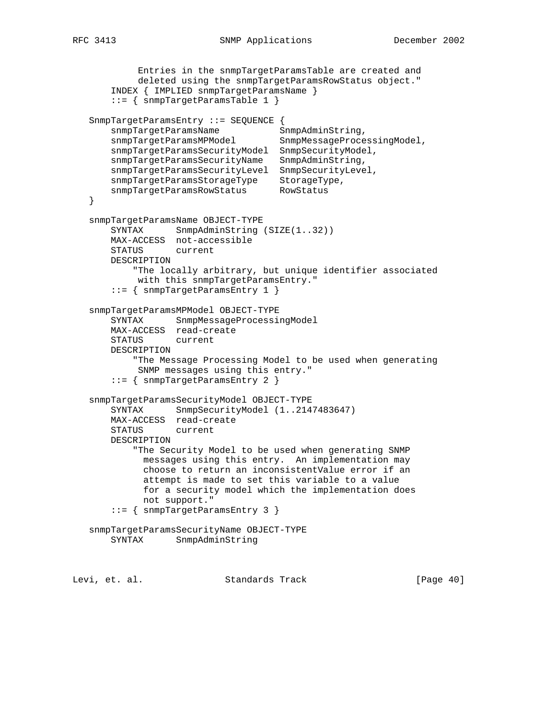```
 Entries in the snmpTargetParamsTable are created and
            deleted using the snmpTargetParamsRowStatus object."
       INDEX { IMPLIED snmpTargetParamsName }
       ::= { snmpTargetParamsTable 1 }
   SnmpTargetParamsEntry ::= SEQUENCE {
snmpTargetParamsName SnmpAdminString,
 snmpTargetParamsMPModel SnmpMessageProcessingModel,
       snmpTargetParamsSecurityModel SnmpSecurityModel,
       snmpTargetParamsSecurityName SnmpAdminString,
       snmpTargetParamsSecurityLevel SnmpSecurityLevel,
snmpTargetParamsStorageType StorageType,
 snmpTargetParamsRowStatus RowStatus
   }
   snmpTargetParamsName OBJECT-TYPE
      SYNTAX SnmpAdminString (SIZE(1..32))
       MAX-ACCESS not-accessible
       STATUS current
       DESCRIPTION
           "The locally arbitrary, but unique identifier associated
            with this snmpTargetParamsEntry."
       ::= { snmpTargetParamsEntry 1 }
   snmpTargetParamsMPModel OBJECT-TYPE
       SYNTAX SnmpMessageProcessingModel
       MAX-ACCESS read-create
       STATUS current
       DESCRIPTION
           "The Message Processing Model to be used when generating
           SNMP messages using this entry."
       ::= { snmpTargetParamsEntry 2 }
   snmpTargetParamsSecurityModel OBJECT-TYPE
       SYNTAX SnmpSecurityModel (1..2147483647)
       MAX-ACCESS read-create
       STATUS current
       DESCRIPTION
           "The Security Model to be used when generating SNMP
             messages using this entry. An implementation may
             choose to return an inconsistentValue error if an
             attempt is made to set this variable to a value
             for a security model which the implementation does
            not support."
       ::= { snmpTargetParamsEntry 3 }
   snmpTargetParamsSecurityName OBJECT-TYPE
       SYNTAX SnmpAdminString
```
Levi, et. al. Standards Track [Page 40]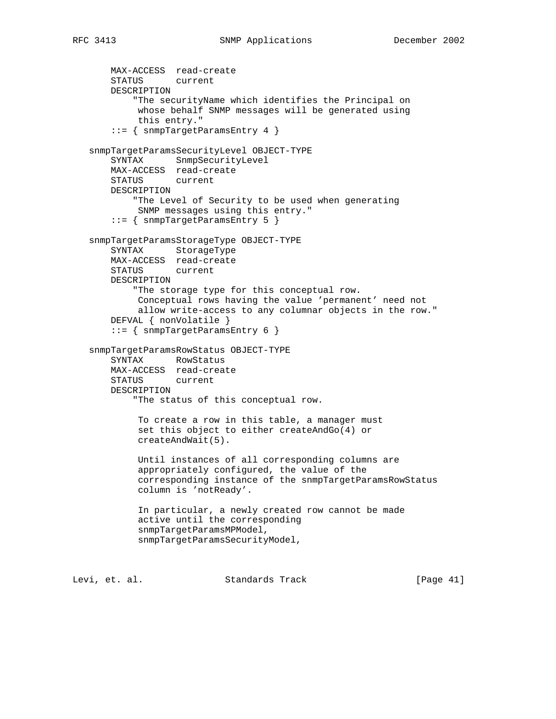```
 MAX-ACCESS read-create
    STATUS current
    DESCRIPTION
         "The securityName which identifies the Principal on
         whose behalf SNMP messages will be generated using
         this entry."
     ::= { snmpTargetParamsEntry 4 }
 snmpTargetParamsSecurityLevel OBJECT-TYPE
    SYNTAX SnmpSecurityLevel
    MAX-ACCESS read-create
    STATUS current
    DESCRIPTION
        "The Level of Security to be used when generating
         SNMP messages using this entry."
     ::= { snmpTargetParamsEntry 5 }
 snmpTargetParamsStorageType OBJECT-TYPE
    SYNTAX StorageType
    MAX-ACCESS read-create
    STATUS current
    DESCRIPTION
         "The storage type for this conceptual row.
         Conceptual rows having the value 'permanent' need not
         allow write-access to any columnar objects in the row."
    DEFVAL { nonVolatile }
     ::= { snmpTargetParamsEntry 6 }
 snmpTargetParamsRowStatus OBJECT-TYPE
    SYNTAX RowStatus
    MAX-ACCESS read-create
    STATUS current
    DESCRIPTION
         "The status of this conceptual row.
          To create a row in this table, a manager must
          set this object to either createAndGo(4) or
          createAndWait(5).
          Until instances of all corresponding columns are
          appropriately configured, the value of the
          corresponding instance of the snmpTargetParamsRowStatus
          column is 'notReady'.
          In particular, a newly created row cannot be made
          active until the corresponding
          snmpTargetParamsMPModel,
          snmpTargetParamsSecurityModel,
```
Levi, et. al. Standards Track [Page 41]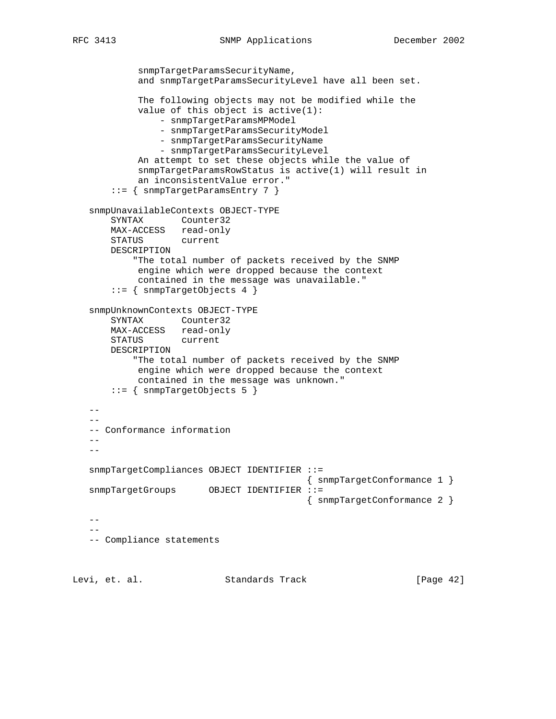```
 snmpTargetParamsSecurityName,
             and snmpTargetParamsSecurityLevel have all been set.
             The following objects may not be modified while the
             value of this object is active(1):
                 - snmpTargetParamsMPModel
                 - snmpTargetParamsSecurityModel
                 - snmpTargetParamsSecurityName
                 - snmpTargetParamsSecurityLevel
             An attempt to set these objects while the value of
             snmpTargetParamsRowStatus is active(1) will result in
             an inconsistentValue error."
        ::= { snmpTargetParamsEntry 7 }
    snmpUnavailableContexts OBJECT-TYPE
        SYNTAX Counter32
       MAX-ACCESS read-only<br>STATUS current
       STATUS
        DESCRIPTION
            "The total number of packets received by the SNMP
             engine which were dropped because the context
             contained in the message was unavailable."
        ::= { snmpTargetObjects 4 }
    snmpUnknownContexts OBJECT-TYPE
        SYNTAX Counter32
        MAX-ACCESS read-only
        STATUS current
        DESCRIPTION
            "The total number of packets received by the SNMP
             engine which were dropped because the context
            contained in the message was unknown."
        ::= { snmpTargetObjects 5 }
   -- -- Conformance information
   -- snmpTargetCompliances OBJECT IDENTIFIER ::=
                                            { snmpTargetConformance 1 }
   snmpTargetGroups OBJECT IDENTIFIER ::=
                                            { snmpTargetConformance 2 }
   - --
    -- Compliance statements
Levi, et. al.                 Standards Track                 [Page 42]
```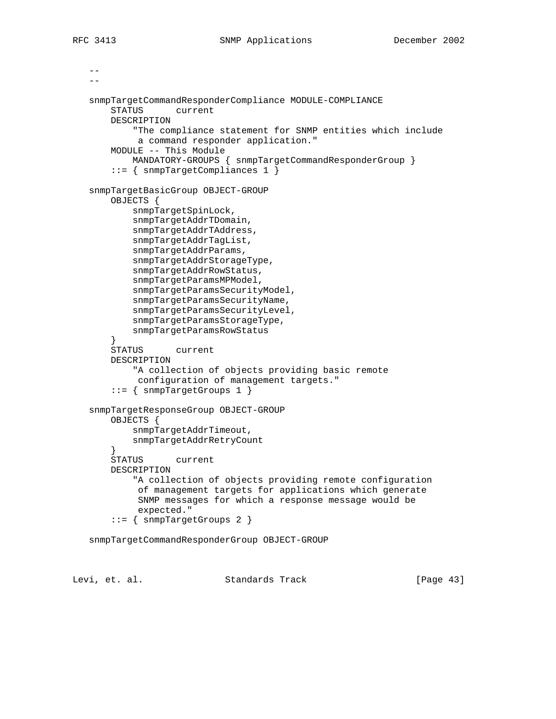$-$ 

```
- snmpTargetCommandResponderCompliance MODULE-COMPLIANCE
     STATUS current
    DESCRIPTION
         "The compliance statement for SNMP entities which include
         a command responder application."
     MODULE -- This Module
         MANDATORY-GROUPS { snmpTargetCommandResponderGroup }
     ::= { snmpTargetCompliances 1 }
 snmpTargetBasicGroup OBJECT-GROUP
    OBJECTS {
         snmpTargetSpinLock,
         snmpTargetAddrTDomain,
         snmpTargetAddrTAddress,
         snmpTargetAddrTagList,
         snmpTargetAddrParams,
         snmpTargetAddrStorageType,
         snmpTargetAddrRowStatus,
         snmpTargetParamsMPModel,
         snmpTargetParamsSecurityModel,
         snmpTargetParamsSecurityName,
         snmpTargetParamsSecurityLevel,
         snmpTargetParamsStorageType,
         snmpTargetParamsRowStatus
     }
     STATUS current
     DESCRIPTION
         "A collection of objects providing basic remote
         configuration of management targets."
     ::= { snmpTargetGroups 1 }
 snmpTargetResponseGroup OBJECT-GROUP
     OBJECTS {
         snmpTargetAddrTimeout,
         snmpTargetAddrRetryCount
     }
     STATUS current
     DESCRIPTION
         "A collection of objects providing remote configuration
          of management targets for applications which generate
          SNMP messages for which a response message would be
          expected."
     ::= { snmpTargetGroups 2 }
 snmpTargetCommandResponderGroup OBJECT-GROUP
```
Levi, et. al. Standards Track [Page 43]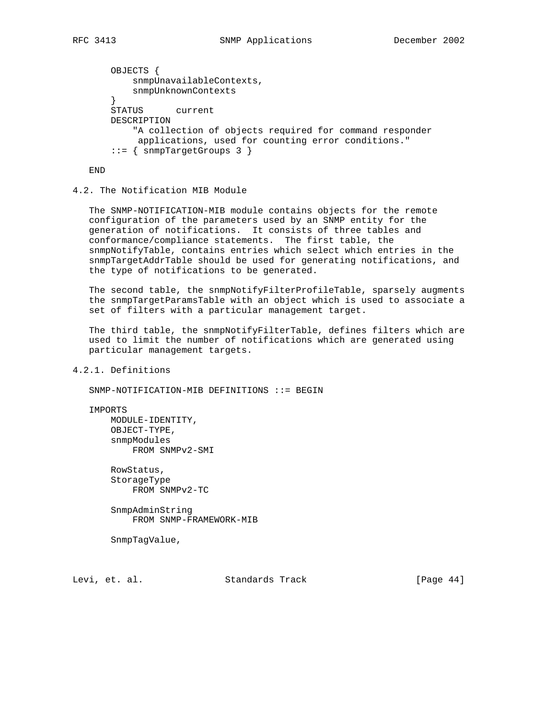```
 OBJECTS {
     snmpUnavailableContexts,
     snmpUnknownContexts
 }
 STATUS current
 DESCRIPTION
     "A collection of objects required for command responder
     applications, used for counting error conditions."
 ::= { snmpTargetGroups 3 }
```
END

## 4.2. The Notification MIB Module

 The SNMP-NOTIFICATION-MIB module contains objects for the remote configuration of the parameters used by an SNMP entity for the generation of notifications. It consists of three tables and conformance/compliance statements. The first table, the snmpNotifyTable, contains entries which select which entries in the snmpTargetAddrTable should be used for generating notifications, and the type of notifications to be generated.

The second table, the snmpNotifyFilterProfileTable, sparsely augments the snmpTargetParamsTable with an object which is used to associate a set of filters with a particular management target.

 The third table, the snmpNotifyFilterTable, defines filters which are used to limit the number of notifications which are generated using particular management targets.

4.2.1. Definitions

SNMP-NOTIFICATION-MIB DEFINITIONS ::= BEGIN

IMPORTS

 MODULE-IDENTITY, OBJECT-TYPE, snmpModules FROM SNMPv2-SMI

 RowStatus, StorageType FROM SNMPv2-TC

 SnmpAdminString FROM SNMP-FRAMEWORK-MIB

SnmpTagValue,

Levi, et. al. Standards Track [Page 44]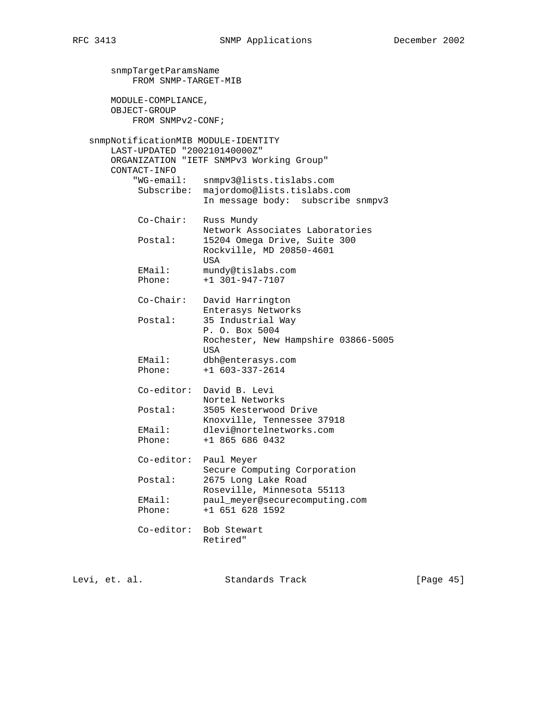snmpTargetParamsName FROM SNMP-TARGET-MIB MODULE-COMPLIANCE, OBJECT-GROUP FROM SNMPv2-CONF; snmpNotificationMIB MODULE-IDENTITY LAST-UPDATED "200210140000Z" ORGANIZATION "IETF SNMPv3 Working Group" CONTACT-INFO "WG-email: snmpv3@lists.tislabs.com Subscribe: majordomo@lists.tislabs.com In message body: subscribe snmpv3 Co-Chair: Russ Mundy Network Associates Laboratories<br>Postal: 15204 Omega Drive, Suite 300 15204 Omega Drive, Suite 300 Rockville, MD 20850-4601 USA EMail: mundy@tislabs.com Phone: +1 301-947-7107 Co-Chair: David Harrington Enterasys Networks Postal: 35 Industrial Way P. O. Box 5004 Rochester, New Hampshire 03866-5005 USA EMail: dbh@enterasys.com Phone: +1 603-337-2614 Co-editor: David B. Levi Nortel Networks Postal: 3505 Kesterwood Drive Knoxville, Tennessee 37918 EMail: dlevi@nortelnetworks.com Phone: +1 865 686 0432 Co-editor: Paul Meyer Secure Computing Corporation<br>Postal: 2675 Long Lake Road 2675 Long Lake Road Roseville, Minnesota 55113 EMail: paul\_meyer@securecomputing.com Phone: +1 651 628 1592 Co-editor: Bob Stewart Retired"

Levi, et. al. Standards Track [Page 45]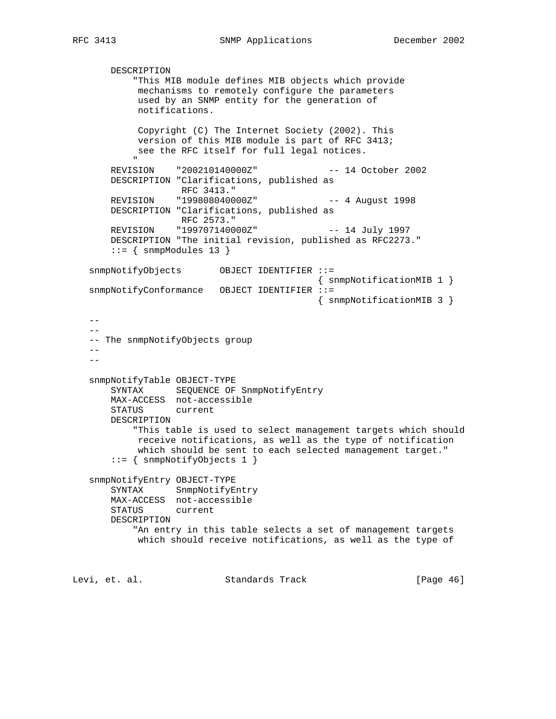```
 DESCRIPTION
             "This MIB module defines MIB objects which provide
              mechanisms to remotely configure the parameters
              used by an SNMP entity for the generation of
              notifications.
             Copyright (C) The Internet Society (2002). This
             version of this MIB module is part of RFC 3413;
            see the RFC itself for full legal notices.
" "The Contract of the Contract of the Contract of the Contract of the Contract of the Contract of the Contract of the Contract of the Contract of the Contract of the Contract of the Contract of the Contract of the Contrac
        REVISION "200210140000Z" -- 14 October 2002
        DESCRIPTION "Clarifications, published as
                      RFC 3413."
        REVISION "199808040000Z" -- 4 August 1998
        DESCRIPTION "Clarifications, published as
                      RFC 2573."
        REVISION "199707140000Z" -- 14 July 1997
        DESCRIPTION "The initial revision, published as RFC2273."
       ::= { snmpModules 13 }
    snmpNotifyObjects OBJECT IDENTIFIER ::=
                                                 { snmpNotificationMIB 1 }
    snmpNotifyConformance OBJECT IDENTIFIER ::=
                                                  { snmpNotificationMIB 3 }
    --
   - -- The snmpNotifyObjects group
   - -- - snmpNotifyTable OBJECT-TYPE
        SYNTAX SEQUENCE OF SnmpNotifyEntry
        MAX-ACCESS not-accessible
        STATUS current
        DESCRIPTION
             "This table is used to select management targets which should
             receive notifications, as well as the type of notification
              which should be sent to each selected management target."
        ::= { snmpNotifyObjects 1 }
    snmpNotifyEntry OBJECT-TYPE
        SYNTAX SnmpNotifyEntry
        MAX-ACCESS not-accessible
        STATUS current
        DESCRIPTION
             "An entry in this table selects a set of management targets
             which should receive notifications, as well as the type of
Levi, et. al. Standards Track [Page 46]
```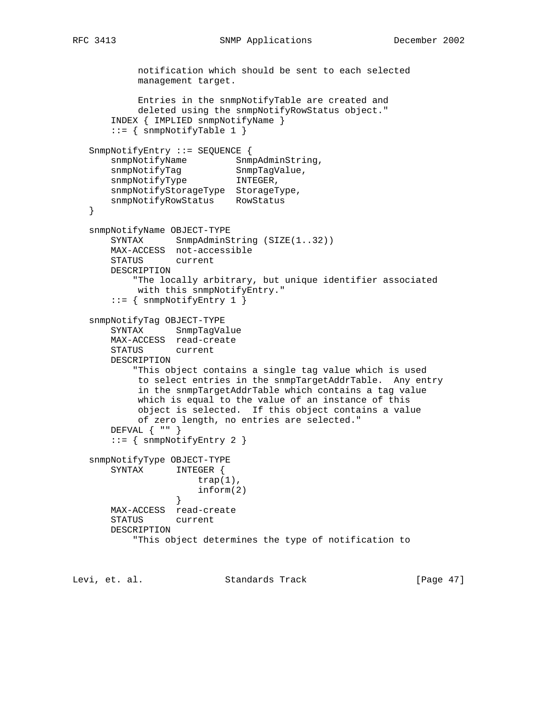```
 notification which should be sent to each selected
            management target.
            Entries in the snmpNotifyTable are created and
            deleted using the snmpNotifyRowStatus object."
       INDEX { IMPLIED snmpNotifyName }
      ::= { snmpNotifyTable 1 }
   SnmpNotifyEntry ::= SEQUENCE {
snmpNotifyName SnmpAdminString,
snmpNotifyTag SnmpTagValue,
snmpNotifyType INTEGER,
 snmpNotifyStorageType StorageType,
 snmpNotifyRowStatus RowStatus
   }
   snmpNotifyName OBJECT-TYPE
      SYNTAX SnmpAdminString (SIZE(1..32))
       MAX-ACCESS not-accessible
       STATUS current
       DESCRIPTION
           "The locally arbitrary, but unique identifier associated
           with this snmpNotifyEntry."
       ::= { snmpNotifyEntry 1 }
   snmpNotifyTag OBJECT-TYPE
       SYNTAX SnmpTagValue
       MAX-ACCESS read-create
       STATUS current
       DESCRIPTION
           "This object contains a single tag value which is used
           to select entries in the snmpTargetAddrTable. Any entry
            in the snmpTargetAddrTable which contains a tag value
            which is equal to the value of an instance of this
            object is selected. If this object contains a value
           of zero length, no entries are selected."
       DEFVAL { "" }
      ::= { snmpNotifyEntry 2 }
   snmpNotifyType OBJECT-TYPE
       SYNTAX INTEGER {
                     trap(1),
                 \inf \text{orm}(2) }
       MAX-ACCESS read-create
       STATUS current
       DESCRIPTION
           "This object determines the type of notification to
```
Levi, et. al. Standards Track [Page 47]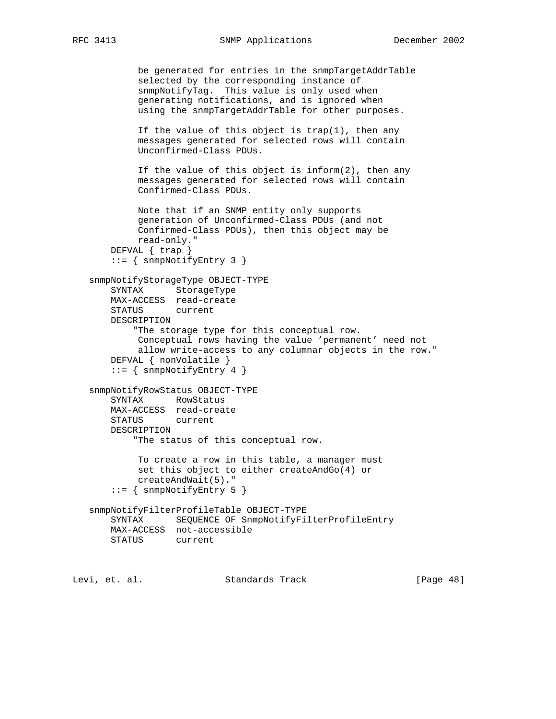```
 be generated for entries in the snmpTargetAddrTable
            selected by the corresponding instance of
            snmpNotifyTag. This value is only used when
            generating notifications, and is ignored when
            using the snmpTargetAddrTable for other purposes.
            If the value of this object is trap(1), then any
            messages generated for selected rows will contain
            Unconfirmed-Class PDUs.
            If the value of this object is inform(2), then any
            messages generated for selected rows will contain
            Confirmed-Class PDUs.
            Note that if an SNMP entity only supports
            generation of Unconfirmed-Class PDUs (and not
            Confirmed-Class PDUs), then this object may be
            read-only."
       DEFVAL { trap }
        ::= { snmpNotifyEntry 3 }
    snmpNotifyStorageType OBJECT-TYPE
       SYNTAX StorageType
       MAX-ACCESS read-create
       STATUS current
       DESCRIPTION
            "The storage type for this conceptual row.
            Conceptual rows having the value 'permanent' need not
            allow write-access to any columnar objects in the row."
       DEFVAL { nonVolatile }
       ::= { snmpNotifyEntry 4 }
    snmpNotifyRowStatus OBJECT-TYPE
       SYNTAX RowStatus
       MAX-ACCESS read-create
       STATUS current
       DESCRIPTION
            "The status of this conceptual row.
            To create a row in this table, a manager must
            set this object to either createAndGo(4) or
            createAndWait(5)."
        ::= { snmpNotifyEntry 5 }
    snmpNotifyFilterProfileTable OBJECT-TYPE
       SYNTAX SEQUENCE OF SnmpNotifyFilterProfileEntry
       MAX-ACCESS not-accessible
       STATUS current
Levi, et. al. Standards Track [Page 48]
```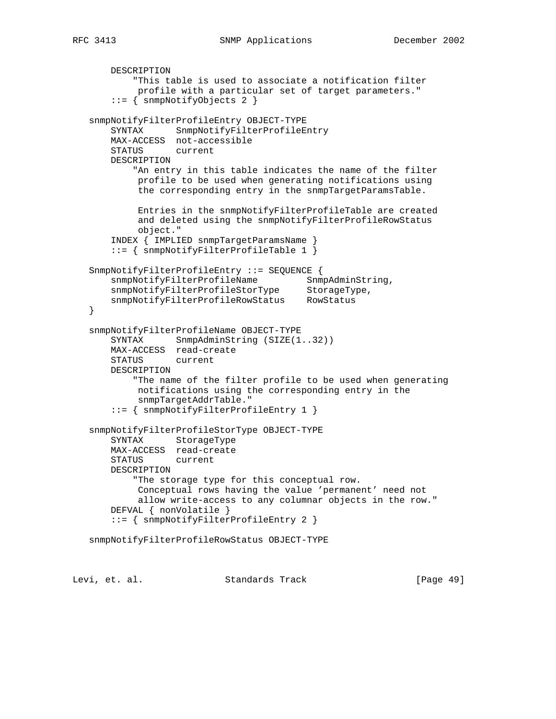```
 DESCRIPTION
           "This table is used to associate a notification filter
            profile with a particular set of target parameters."
        ::= { snmpNotifyObjects 2 }
   snmpNotifyFilterProfileEntry OBJECT-TYPE
       SYNTAX SnmpNotifyFilterProfileEntry
       MAX-ACCESS not-accessible
       STATUS current
       DESCRIPTION
           "An entry in this table indicates the name of the filter
            profile to be used when generating notifications using
            the corresponding entry in the snmpTargetParamsTable.
            Entries in the snmpNotifyFilterProfileTable are created
            and deleted using the snmpNotifyFilterProfileRowStatus
            object."
       INDEX { IMPLIED snmpTargetParamsName }
       ::= { snmpNotifyFilterProfileTable 1 }
   SnmpNotifyFilterProfileEntry ::= SEQUENCE {
      snmpNotifyFilterProfileName SnmpAdminString,
snmpNotifyFilterProfileStorType StorageType,
 snmpNotifyFilterProfileRowStatus RowStatus
   }
   snmpNotifyFilterProfileName OBJECT-TYPE
      SYNTAX SnmpAdminString (SIZE(1..32))
       MAX-ACCESS read-create
       STATUS current
       DESCRIPTION
           "The name of the filter profile to be used when generating
            notifications using the corresponding entry in the
            snmpTargetAddrTable."
       ::= { snmpNotifyFilterProfileEntry 1 }
   snmpNotifyFilterProfileStorType OBJECT-TYPE
       SYNTAX StorageType
       MAX-ACCESS read-create
       STATUS current
       DESCRIPTION
           "The storage type for this conceptual row.
            Conceptual rows having the value 'permanent' need not
            allow write-access to any columnar objects in the row."
       DEFVAL { nonVolatile }
       ::= { snmpNotifyFilterProfileEntry 2 }
   snmpNotifyFilterProfileRowStatus OBJECT-TYPE
```
Levi, et. al. Standards Track [Page 49]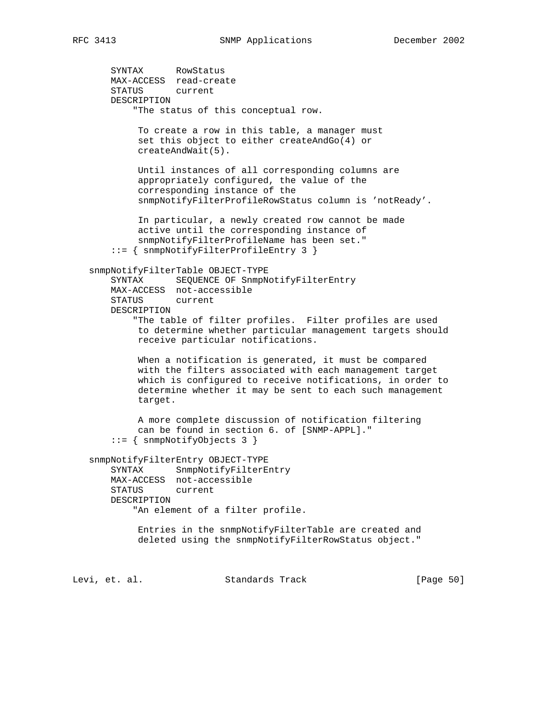SYNTAX RowStatus MAX-ACCESS read-create STATUS current DESCRIPTION "The status of this conceptual row. To create a row in this table, a manager must set this object to either createAndGo(4) or createAndWait(5). Until instances of all corresponding columns are appropriately configured, the value of the corresponding instance of the snmpNotifyFilterProfileRowStatus column is 'notReady'. In particular, a newly created row cannot be made active until the corresponding instance of snmpNotifyFilterProfileName has been set." ::= { snmpNotifyFilterProfileEntry 3 } snmpNotifyFilterTable OBJECT-TYPE SYNTAX SEQUENCE OF SnmpNotifyFilterEntry MAX-ACCESS not-accessible STATUS current DESCRIPTION "The table of filter profiles. Filter profiles are used to determine whether particular management targets should receive particular notifications. When a notification is generated, it must be compared with the filters associated with each management target which is configured to receive notifications, in order to determine whether it may be sent to each such management target. A more complete discussion of notification filtering can be found in section 6. of [SNMP-APPL]." ::= { snmpNotifyObjects 3 } snmpNotifyFilterEntry OBJECT-TYPE SYNTAX SnmpNotifyFilterEntry MAX-ACCESS not-accessible STATUS current DESCRIPTION "An element of a filter profile. Entries in the snmpNotifyFilterTable are created and deleted using the snmpNotifyFilterRowStatus object."

Levi, et. al. Standards Track [Page 50]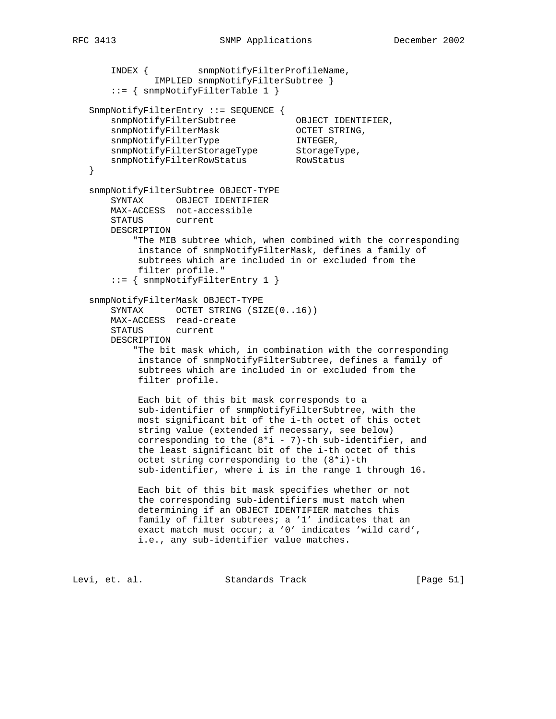```
 INDEX { snmpNotifyFilterProfileName,
               IMPLIED snmpNotifyFilterSubtree }
       ::= { snmpNotifyFilterTable 1 }
   SnmpNotifyFilterEntry ::= SEQUENCE {
      snmpNotifyFilterSubtree OBJECT IDENTIFIER,
snmpNotifyFilterMask OCTET STRING,
snmpNotifyFilterType TNTEGER,
snmpNotifyFilterStorageType StorageType,
snmpNotifyFilterRowStatus RowStatus
   }
   snmpNotifyFilterSubtree OBJECT-TYPE
       SYNTAX OBJECT IDENTIFIER
       MAX-ACCESS not-accessible
       STATUS current
       DESCRIPTION
           "The MIB subtree which, when combined with the corresponding
            instance of snmpNotifyFilterMask, defines a family of
            subtrees which are included in or excluded from the
           filter profile."
       ::= { snmpNotifyFilterEntry 1 }
   snmpNotifyFilterMask OBJECT-TYPE
      SYNTAX OCTET STRING (SIZE(0..16))
       MAX-ACCESS read-create
       STATUS current
       DESCRIPTION
           "The bit mask which, in combination with the corresponding
            instance of snmpNotifyFilterSubtree, defines a family of
            subtrees which are included in or excluded from the
            filter profile.
            Each bit of this bit mask corresponds to a
            sub-identifier of snmpNotifyFilterSubtree, with the
            most significant bit of the i-th octet of this octet
            string value (extended if necessary, see below)
           corresponding to the (8 * i - 7)-th sub-identifier, and
            the least significant bit of the i-th octet of this
            octet string corresponding to the (8*i)-th
            sub-identifier, where i is in the range 1 through 16.
            Each bit of this bit mask specifies whether or not
            the corresponding sub-identifiers must match when
            determining if an OBJECT IDENTIFIER matches this
            family of filter subtrees; a '1' indicates that an
            exact match must occur; a '0' indicates 'wild card',
            i.e., any sub-identifier value matches.
```
Levi, et. al. Standards Track [Page 51]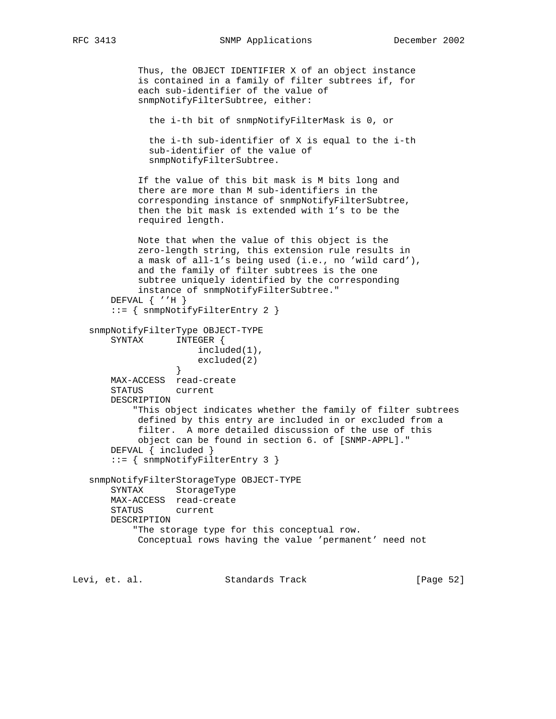RFC 3413 SNMP Applications December 2002

```
 Thus, the OBJECT IDENTIFIER X of an object instance
             is contained in a family of filter subtrees if, for
             each sub-identifier of the value of
             snmpNotifyFilterSubtree, either:
               the i-th bit of snmpNotifyFilterMask is 0, or
               the i-th sub-identifier of X is equal to the i-th
               sub-identifier of the value of
               snmpNotifyFilterSubtree.
             If the value of this bit mask is M bits long and
             there are more than M sub-identifiers in the
             corresponding instance of snmpNotifyFilterSubtree,
             then the bit mask is extended with 1's to be the
             required length.
             Note that when the value of this object is the
             zero-length string, this extension rule results in
             a mask of all-1's being used (i.e., no 'wild card'),
             and the family of filter subtrees is the one
             subtree uniquely identified by the corresponding
             instance of snmpNotifyFilterSubtree."
        DEFVAL { ''H }
        ::= { snmpNotifyFilterEntry 2 }
    snmpNotifyFilterType OBJECT-TYPE
        SYNTAX INTEGER {
                       included(1),
                   excluded(2)<br>}
 }
       MAX-ACCESS read-create
        STATUS current
        DESCRIPTION
            "This object indicates whether the family of filter subtrees
            defined by this entry are included in or excluded from a
             filter. A more detailed discussion of the use of this
             object can be found in section 6. of [SNMP-APPL]."
        DEFVAL { included }
        ::= { snmpNotifyFilterEntry 3 }
    snmpNotifyFilterStorageType OBJECT-TYPE
       SYNTAX StorageType
       MAX-ACCESS read-create
       STATUS current
       DESCRIPTION
            "The storage type for this conceptual row.
            Conceptual rows having the value 'permanent' need not
Levi, et. al.                 Standards Track                 [Page 52]
```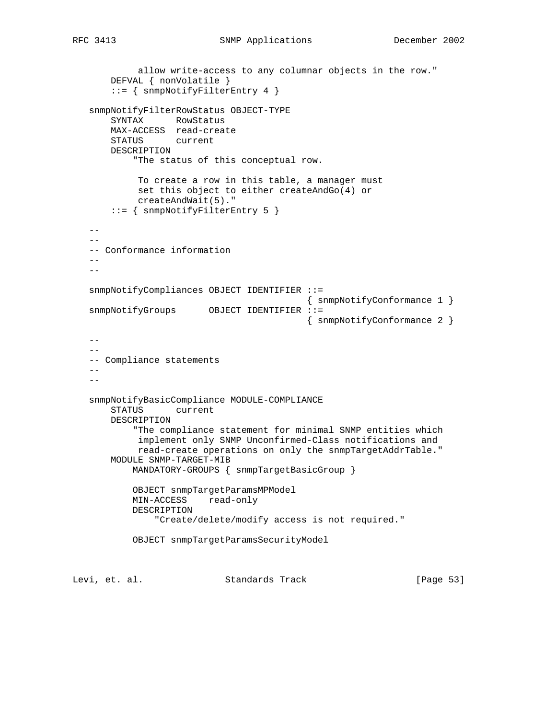```
 allow write-access to any columnar objects in the row."
        DEFVAL { nonVolatile }
        ::= { snmpNotifyFilterEntry 4 }
    snmpNotifyFilterRowStatus OBJECT-TYPE
       SYNTAX RowStatus
       MAX-ACCESS read-create
       STATUS current
       DESCRIPTION
            "The status of this conceptual row.
             To create a row in this table, a manager must
             set this object to either createAndGo(4) or
             createAndWait(5)."
        ::= { snmpNotifyFilterEntry 5 }
   - -- - -- Conformance information
   --- snmpNotifyCompliances OBJECT IDENTIFIER ::=
                                             { snmpNotifyConformance 1 }
   snmpNotifyGroups OBJECT IDENTIFIER ::=
                                            { snmpNotifyConformance 2 }
   -- - -- Compliance statements
    --
   -\,- snmpNotifyBasicCompliance MODULE-COMPLIANCE
       STATUS current
       DESCRIPTION
            "The compliance statement for minimal SNMP entities which
             implement only SNMP Unconfirmed-Class notifications and
             read-create operations on only the snmpTargetAddrTable."
        MODULE SNMP-TARGET-MIB
            MANDATORY-GROUPS { snmpTargetBasicGroup }
            OBJECT snmpTargetParamsMPModel
            MIN-ACCESS read-only
            DESCRIPTION
                "Create/delete/modify access is not required."
            OBJECT snmpTargetParamsSecurityModel
Levi, et. al.                 Standards Track               [Page 53]
```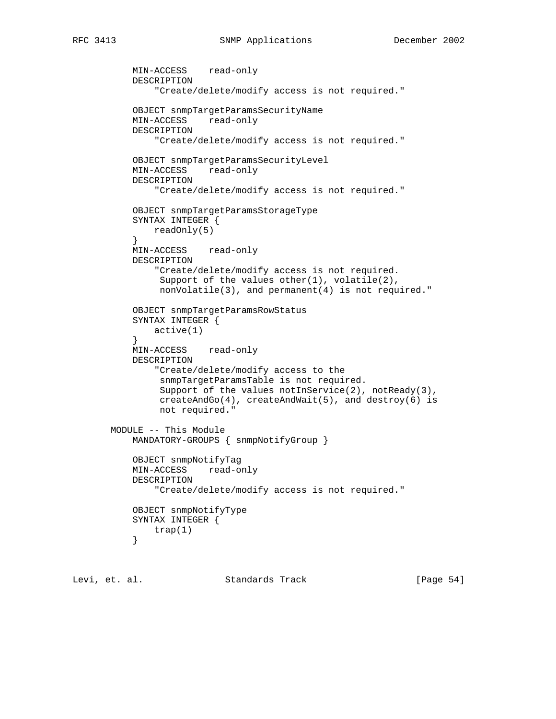```
 MIN-ACCESS read-only
           DESCRIPTION
               "Create/delete/modify access is not required."
           OBJECT snmpTargetParamsSecurityName
           MIN-ACCESS read-only
           DESCRIPTION
               "Create/delete/modify access is not required."
           OBJECT snmpTargetParamsSecurityLevel
           MIN-ACCESS read-only
           DESCRIPTION
               "Create/delete/modify access is not required."
           OBJECT snmpTargetParamsStorageType
           SYNTAX INTEGER {
          readOnly(5)<br>}
 }
           MIN-ACCESS read-only
           DESCRIPTION
               "Create/delete/modify access is not required.
               Support of the values other(1), volatile(2),
                nonVolatile(3), and permanent(4) is not required."
           OBJECT snmpTargetParamsRowStatus
           SYNTAX INTEGER {
               active(1)
 }
           MIN-ACCESS read-only
           DESCRIPTION
               "Create/delete/modify access to the
                snmpTargetParamsTable is not required.
               Support of the values notInService(2), notReady(3),
                createAndGo(4), createAndWait(5), and destroy(6) is
                not required."
       MODULE -- This Module
           MANDATORY-GROUPS { snmpNotifyGroup }
           OBJECT snmpNotifyTag
           MIN-ACCESS read-only
           DESCRIPTION
               "Create/delete/modify access is not required."
           OBJECT snmpNotifyType
           SYNTAX INTEGER {
          trap(1) }
```
Levi, et. al. Standards Track [Page 54]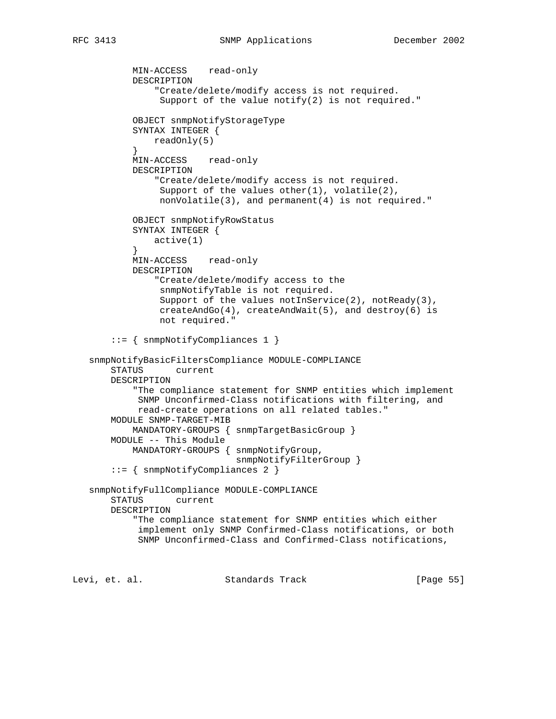```
 MIN-ACCESS read-only
           DESCRIPTION
                "Create/delete/modify access is not required.
               Support of the value notify(2) is not required."
           OBJECT snmpNotifyStorageType
           SYNTAX INTEGER {
          readOnly(5)<br>}
 }
           MIN-ACCESS read-only
           DESCRIPTION
                "Create/delete/modify access is not required.
               Support of the values other(1), volatile(2),
                nonVolatile(3), and permanent(4) is not required."
           OBJECT snmpNotifyRowStatus
           SYNTAX INTEGER {
               active(1)
 }
           MIN-ACCESS read-only
           DESCRIPTION
                "Create/delete/modify access to the
                snmpNotifyTable is not required.
               Support of the values notInService(2), notReady(3),
                createAndGo(4), createAndWait(5), and destroy(6) is
                not required."
        ::= { snmpNotifyCompliances 1 }
   snmpNotifyBasicFiltersCompliance MODULE-COMPLIANCE
       STATUS current
       DESCRIPTION
            "The compliance statement for SNMP entities which implement
            SNMP Unconfirmed-Class notifications with filtering, and
            read-create operations on all related tables."
       MODULE SNMP-TARGET-MIB
           MANDATORY-GROUPS { snmpTargetBasicGroup }
       MODULE -- This Module
           MANDATORY-GROUPS { snmpNotifyGroup,
                               snmpNotifyFilterGroup }
        ::= { snmpNotifyCompliances 2 }
   snmpNotifyFullCompliance MODULE-COMPLIANCE
       STATUS current
       DESCRIPTION
            "The compliance statement for SNMP entities which either
            implement only SNMP Confirmed-Class notifications, or both
            SNMP Unconfirmed-Class and Confirmed-Class notifications,
```
Levi, et. al. Standards Track [Page 55]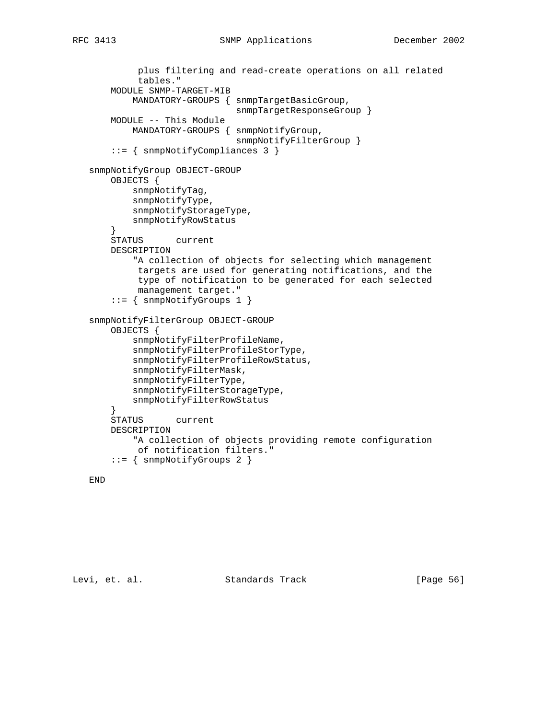```
 plus filtering and read-create operations on all related
             tables."
       MODULE SNMP-TARGET-MIB
            MANDATORY-GROUPS { snmpTargetBasicGroup,
                               snmpTargetResponseGroup }
       MODULE -- This Module
           MANDATORY-GROUPS { snmpNotifyGroup,
                               snmpNotifyFilterGroup }
        ::= { snmpNotifyCompliances 3 }
   snmpNotifyGroup OBJECT-GROUP
       OBJECTS {
            snmpNotifyTag,
            snmpNotifyType,
            snmpNotifyStorageType,
            snmpNotifyRowStatus
 }
        STATUS current
       DESCRIPTION
           "A collection of objects for selecting which management
            targets are used for generating notifications, and the
            type of notification to be generated for each selected
            management target."
        ::= { snmpNotifyGroups 1 }
   snmpNotifyFilterGroup OBJECT-GROUP
       OBJECTS {
            snmpNotifyFilterProfileName,
            snmpNotifyFilterProfileStorType,
            snmpNotifyFilterProfileRowStatus,
            snmpNotifyFilterMask,
            snmpNotifyFilterType,
            snmpNotifyFilterStorageType,
            snmpNotifyFilterRowStatus
        }
       STATUS current
       DESCRIPTION
            "A collection of objects providing remote configuration
            of notification filters."
        ::= { snmpNotifyGroups 2 }
```
## END

Levi, et. al. Standards Track [Page 56]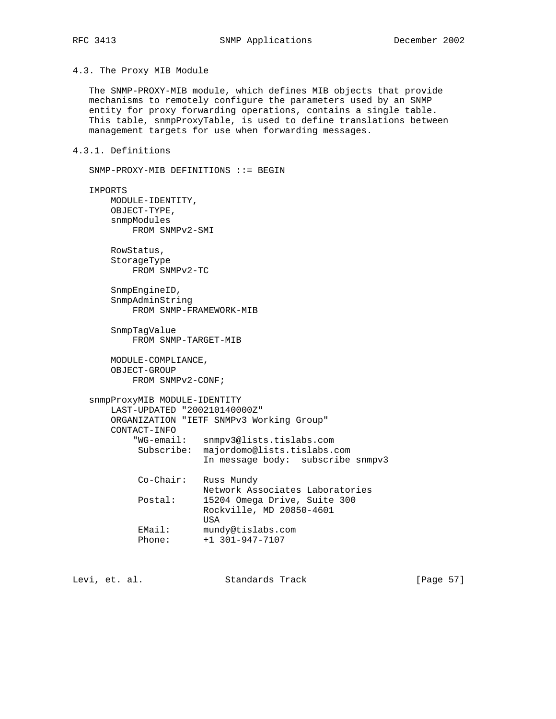4.3. The Proxy MIB Module

SNMP-PROXY-MIB DEFINITIONS ::= BEGIN

 The SNMP-PROXY-MIB module, which defines MIB objects that provide mechanisms to remotely configure the parameters used by an SNMP entity for proxy forwarding operations, contains a single table. This table, snmpProxyTable, is used to define translations between management targets for use when forwarding messages.

## 4.3.1. Definitions

```
 IMPORTS
      MODULE-IDENTITY,
       OBJECT-TYPE,
       snmpModules
           FROM SNMPv2-SMI
       RowStatus,
       StorageType
           FROM SNMPv2-TC
       SnmpEngineID,
       SnmpAdminString
           FROM SNMP-FRAMEWORK-MIB
       SnmpTagValue
           FROM SNMP-TARGET-MIB
       MODULE-COMPLIANCE,
       OBJECT-GROUP
           FROM SNMPv2-CONF;
   snmpProxyMIB MODULE-IDENTITY
       LAST-UPDATED "200210140000Z"
       ORGANIZATION "IETF SNMPv3 Working Group"
       CONTACT-INFO
           "WG-email: snmpv3@lists.tislabs.com
            Subscribe: majordomo@lists.tislabs.com
                        In message body: subscribe snmpv3
            Co-Chair: Russ Mundy
                      Network Associates Laboratories
           Postal: 15204 Omega Drive, Suite 300
                       Rockville, MD 20850-4601
                       USA
EMail: mundy@tislabs.com
 Phone: +1 301-947-7107
```
Levi, et. al. Standards Track [Page 57]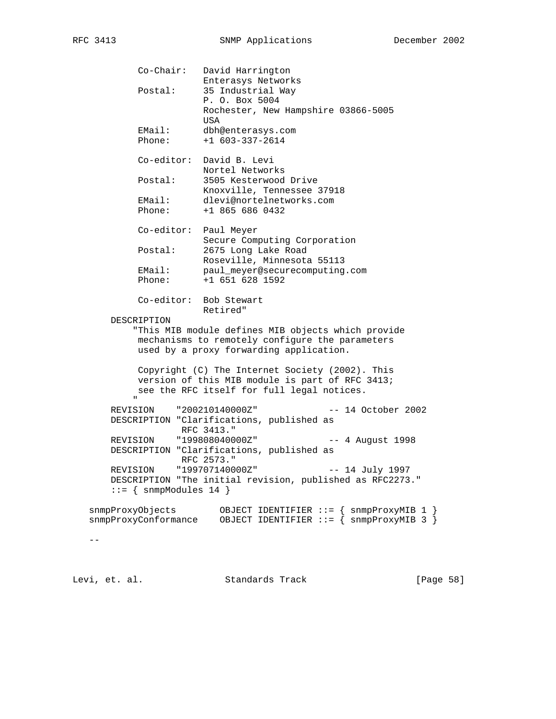Co-Chair: David Harrington Enterasys Networks Postal: 35 Industrial Way P. O. Box 5004 Rochester, New Hampshire 03866-5005 USA EMail: dbh@enterasys.com Phone: +1 603-337-2614 Co-editor: David B. Levi Nortel Networks Postal: 3505 Kesterwood Drive Knoxville, Tennessee 37918 EMail: dlevi@nortelnetworks.com Phone: +1 865 686 0432 Co-editor: Paul Meyer Secure Computing Corporation Postal: 2675 Long Lake Road Roseville, Minnesota 55113 EMail: paul\_meyer@securecomputing.com Phone: +1 651 628 1592 Co-editor: Bob Stewart Retired" DESCRIPTION "This MIB module defines MIB objects which provide mechanisms to remotely configure the parameters used by a proxy forwarding application. Copyright (C) The Internet Society (2002). This version of this MIB module is part of RFC 3413; see the RFC itself for full legal notices. " "The Contract of the Contract of the Contract of the Contract of the Contract of the Contract of the Contract of the Contract of the Contract of the Contract of the Contract of the Contract of the Contract of the Contrac REVISION "200210140000Z" -- 14 October 2002 DESCRIPTION "Clarifications, published as RFC 3413." REVISION "199808040000Z" -- 4 August 1998 DESCRIPTION "Clarifications, published as RFC 2573." REVISION "199707140000Z" -- 14 July 1997 DESCRIPTION "The initial revision, published as RFC2273."  $::=$  { snmpModules 14 } snmpProxyObjects OBJECT IDENTIFIER ::= { snmpProxyMIB 1 } snmpProxyConformance OBJECT IDENTIFIER ::= { snmpProxyMIB 3 }

 $-$ 

Levi, et. al. Standards Track [Page 58]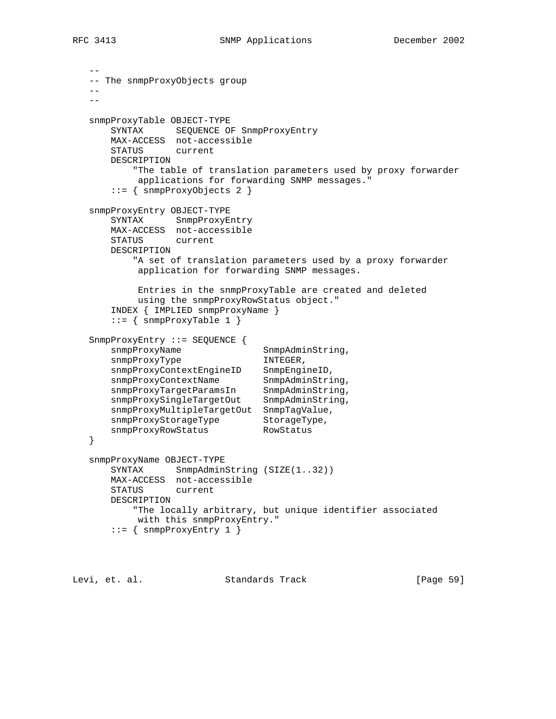```
 --
   -- The snmpProxyObjects group
  -4- snmpProxyTable OBJECT-TYPE
       SYNTAX SEQUENCE OF SnmpProxyEntry
       MAX-ACCESS not-accessible
       STATUS current
       DESCRIPTION
           "The table of translation parameters used by proxy forwarder
           applications for forwarding SNMP messages."
       ::= { snmpProxyObjects 2 }
   snmpProxyEntry OBJECT-TYPE
       SYNTAX SnmpProxyEntry
       MAX-ACCESS not-accessible
       STATUS current
       DESCRIPTION
          "A set of translation parameters used by a proxy forwarder
           application for forwarding SNMP messages.
           Entries in the snmpProxyTable are created and deleted
           using the snmpProxyRowStatus object."
       INDEX { IMPLIED snmpProxyName }
      ::= { snmpProxyTable 1 }
   SnmpProxyEntry ::= SEQUENCE {
     snmpProxyName SnmpAdminString,
      snmpProxyType INTEGER,
 snmpProxyContextEngineID SnmpEngineID,
snmpProxyContextName SnmpAdminString,
snmpProxyTargetParamsIn SnmpAdminString,
 snmpProxySingleTargetOut SnmpAdminString,
       snmpProxyMultipleTargetOut SnmpTagValue,
snmpProxyStorageType StorageType,
snmpProxyRowStatus RowStatus
   }
   snmpProxyName OBJECT-TYPE
      SYNTAX SnmpAdminString (SIZE(1..32))
       MAX-ACCESS not-accessible
       STATUS current
       DESCRIPTION
          "The locally arbitrary, but unique identifier associated
           with this snmpProxyEntry."
       ::= { snmpProxyEntry 1 }
```
Levi, et. al. Standards Track [Page 59]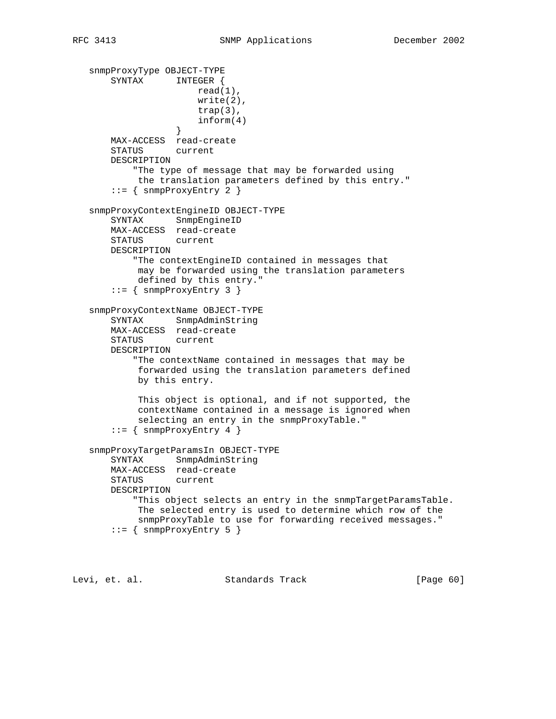```
 snmpProxyType OBJECT-TYPE
       SYNTAX INTEGER {
                       read(1),
                       write(2),
                       trap(3),
                  \{4\} }
       MAX-ACCESS read-create
       STATUS current
       DESCRIPTION
           "The type of message that may be forwarded using
            the translation parameters defined by this entry."
       ::= { snmpProxyEntry 2 }
   snmpProxyContextEngineID OBJECT-TYPE
       SYNTAX SnmpEngineID
       MAX-ACCESS read-create
      STATUS
       DESCRIPTION
           "The contextEngineID contained in messages that
            may be forwarded using the translation parameters
            defined by this entry."
       ::= { snmpProxyEntry 3 }
   snmpProxyContextName OBJECT-TYPE
       SYNTAX SnmpAdminString
       MAX-ACCESS read-create
       STATUS current
       DESCRIPTION
           "The contextName contained in messages that may be
            forwarded using the translation parameters defined
            by this entry.
            This object is optional, and if not supported, the
            contextName contained in a message is ignored when
            selecting an entry in the snmpProxyTable."
      ::= { snmpProxyEntry 4 }
   snmpProxyTargetParamsIn OBJECT-TYPE
       SYNTAX SnmpAdminString
       MAX-ACCESS read-create
       STATUS current
       DESCRIPTION
           "This object selects an entry in the snmpTargetParamsTable.
            The selected entry is used to determine which row of the
            snmpProxyTable to use for forwarding received messages."
       ::= { snmpProxyEntry 5 }
```
Levi, et. al. Standards Track [Page 60]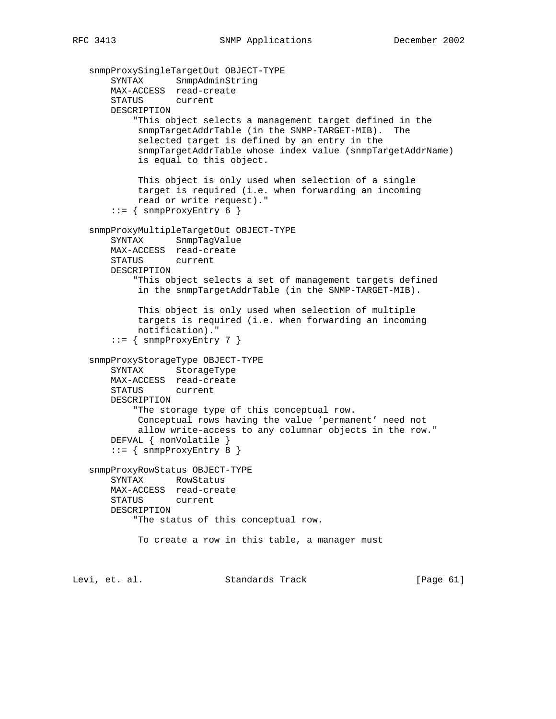```
 snmpProxySingleTargetOut OBJECT-TYPE
 SYNTAX SnmpAdminString
 MAX-ACCESS read-create
       STATUS current
       DESCRIPTION
            "This object selects a management target defined in the
            snmpTargetAddrTable (in the SNMP-TARGET-MIB). The
            selected target is defined by an entry in the
            snmpTargetAddrTable whose index value (snmpTargetAddrName)
            is equal to this object.
            This object is only used when selection of a single
            target is required (i.e. when forwarding an incoming
            read or write request)."
      ::= \{ snmpProxyEntry 6 \} snmpProxyMultipleTargetOut OBJECT-TYPE
       SYNTAX SnmpTagValue
       MAX-ACCESS read-create
       STATUS current
       DESCRIPTION
           "This object selects a set of management targets defined
            in the snmpTargetAddrTable (in the SNMP-TARGET-MIB).
            This object is only used when selection of multiple
            targets is required (i.e. when forwarding an incoming
            notification)."
        ::= { snmpProxyEntry 7 }
   snmpProxyStorageType OBJECT-TYPE
       SYNTAX StorageType
       MAX-ACCESS read-create
       STATUS current
       DESCRIPTION
           "The storage type of this conceptual row.
            Conceptual rows having the value 'permanent' need not
            allow write-access to any columnar objects in the row."
       DEFVAL { nonVolatile }
      ::= { snmpProxyEntry 8 }
   snmpProxyRowStatus OBJECT-TYPE
       SYNTAX RowStatus
       MAX-ACCESS read-create
       STATUS current
       DESCRIPTION
           "The status of this conceptual row.
            To create a row in this table, a manager must
```
Levi, et. al. Standards Track [Page 61]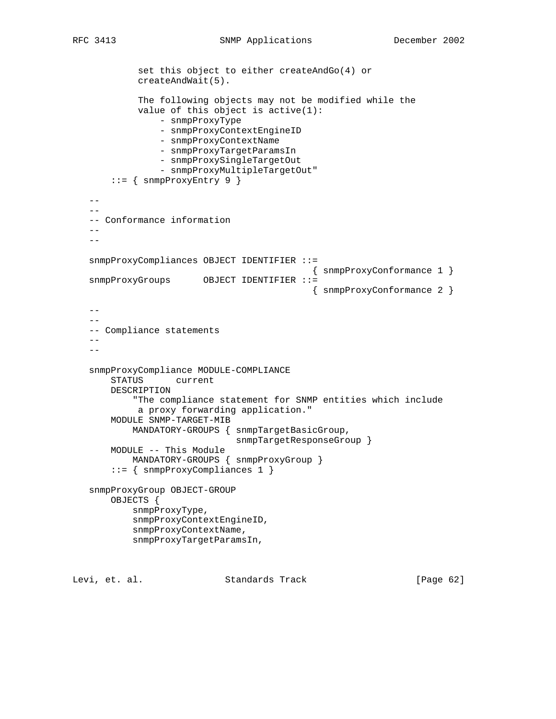set this object to either createAndGo(4) or createAndWait(5). The following objects may not be modified while the value of this object is active(1): - snmpProxyType - snmpProxyContextEngineID - snmpProxyContextName - snmpProxyTargetParamsIn - snmpProxySingleTargetOut - snmpProxyMultipleTargetOut"  $::=$  { snmpProxyEntry 9 }  $-$  -- Conformance information  $-\, -$  snmpProxyCompliances OBJECT IDENTIFIER ::= { snmpProxyConformance 1 } snmpProxyGroups OBJECT IDENTIFIER ::= { snmpProxyConformance 2 }  $-$  -- -- Compliance statements --  $-$  snmpProxyCompliance MODULE-COMPLIANCE STATUS current DESCRIPTION "The compliance statement for SNMP entities which include a proxy forwarding application." MODULE SNMP-TARGET-MIB MANDATORY-GROUPS { snmpTargetBasicGroup, snmpTargetResponseGroup } MODULE -- This Module MANDATORY-GROUPS { snmpProxyGroup } ::= { snmpProxyCompliances 1 } snmpProxyGroup OBJECT-GROUP OBJECTS { snmpProxyType, snmpProxyContextEngineID, snmpProxyContextName, snmpProxyTargetParamsIn,

Levi, et. al. Standards Track [Page 62]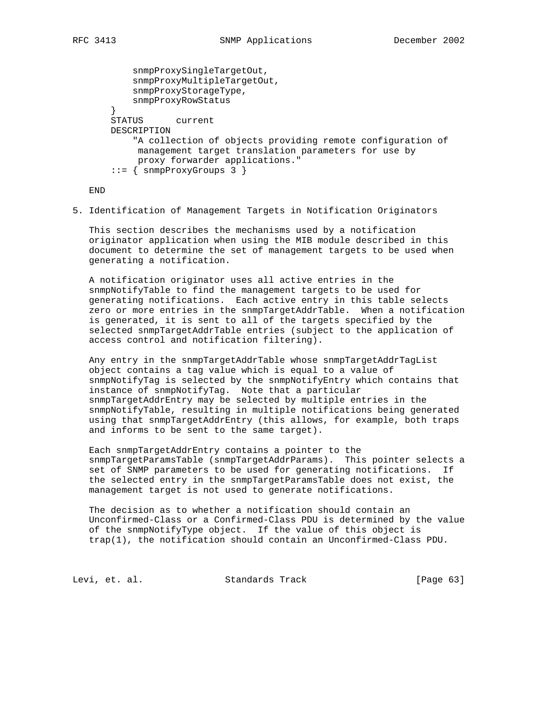```
 snmpProxySingleTargetOut,
           snmpProxyMultipleTargetOut,
           snmpProxyStorageType,
           snmpProxyRowStatus
 }
       STATUS current
       DESCRIPTION
           "A collection of objects providing remote configuration of
            management target translation parameters for use by
            proxy forwarder applications."
      ::= { snmpProxyGroups 3 }
```
END

5. Identification of Management Targets in Notification Originators

 This section describes the mechanisms used by a notification originator application when using the MIB module described in this document to determine the set of management targets to be used when generating a notification.

 A notification originator uses all active entries in the snmpNotifyTable to find the management targets to be used for generating notifications. Each active entry in this table selects zero or more entries in the snmpTargetAddrTable. When a notification is generated, it is sent to all of the targets specified by the selected snmpTargetAddrTable entries (subject to the application of access control and notification filtering).

 Any entry in the snmpTargetAddrTable whose snmpTargetAddrTagList object contains a tag value which is equal to a value of snmpNotifyTag is selected by the snmpNotifyEntry which contains that instance of snmpNotifyTag. Note that a particular snmpTargetAddrEntry may be selected by multiple entries in the snmpNotifyTable, resulting in multiple notifications being generated using that snmpTargetAddrEntry (this allows, for example, both traps and informs to be sent to the same target).

 Each snmpTargetAddrEntry contains a pointer to the snmpTargetParamsTable (snmpTargetAddrParams). This pointer selects a set of SNMP parameters to be used for generating notifications. If the selected entry in the snmpTargetParamsTable does not exist, the management target is not used to generate notifications.

 The decision as to whether a notification should contain an Unconfirmed-Class or a Confirmed-Class PDU is determined by the value of the snmpNotifyType object. If the value of this object is trap(1), the notification should contain an Unconfirmed-Class PDU.

Levi, et. al. Standards Track [Page 63]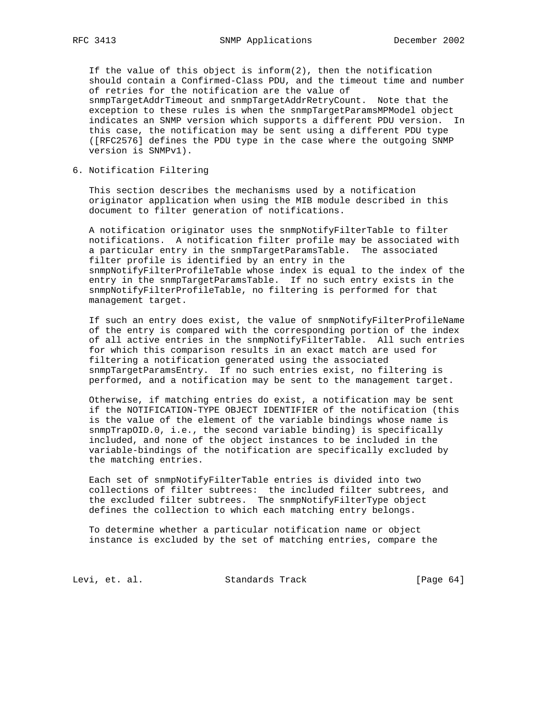If the value of this object is inform(2), then the notification should contain a Confirmed-Class PDU, and the timeout time and number of retries for the notification are the value of snmpTargetAddrTimeout and snmpTargetAddrRetryCount. Note that the exception to these rules is when the snmpTargetParamsMPModel object indicates an SNMP version which supports a different PDU version. In this case, the notification may be sent using a different PDU type ([RFC2576] defines the PDU type in the case where the outgoing SNMP version is SNMPv1).

6. Notification Filtering

 This section describes the mechanisms used by a notification originator application when using the MIB module described in this document to filter generation of notifications.

 A notification originator uses the snmpNotifyFilterTable to filter notifications. A notification filter profile may be associated with a particular entry in the snmpTargetParamsTable. The associated filter profile is identified by an entry in the snmpNotifyFilterProfileTable whose index is equal to the index of the entry in the snmpTargetParamsTable. If no such entry exists in the snmpNotifyFilterProfileTable, no filtering is performed for that management target.

 If such an entry does exist, the value of snmpNotifyFilterProfileName of the entry is compared with the corresponding portion of the index of all active entries in the snmpNotifyFilterTable. All such entries for which this comparison results in an exact match are used for filtering a notification generated using the associated snmpTargetParamsEntry. If no such entries exist, no filtering is performed, and a notification may be sent to the management target.

 Otherwise, if matching entries do exist, a notification may be sent if the NOTIFICATION-TYPE OBJECT IDENTIFIER of the notification (this is the value of the element of the variable bindings whose name is snmpTrapOID.0, i.e., the second variable binding) is specifically included, and none of the object instances to be included in the variable-bindings of the notification are specifically excluded by the matching entries.

 Each set of snmpNotifyFilterTable entries is divided into two collections of filter subtrees: the included filter subtrees, and the excluded filter subtrees. The snmpNotifyFilterType object defines the collection to which each matching entry belongs.

 To determine whether a particular notification name or object instance is excluded by the set of matching entries, compare the

Levi, et. al. Standards Track [Page 64]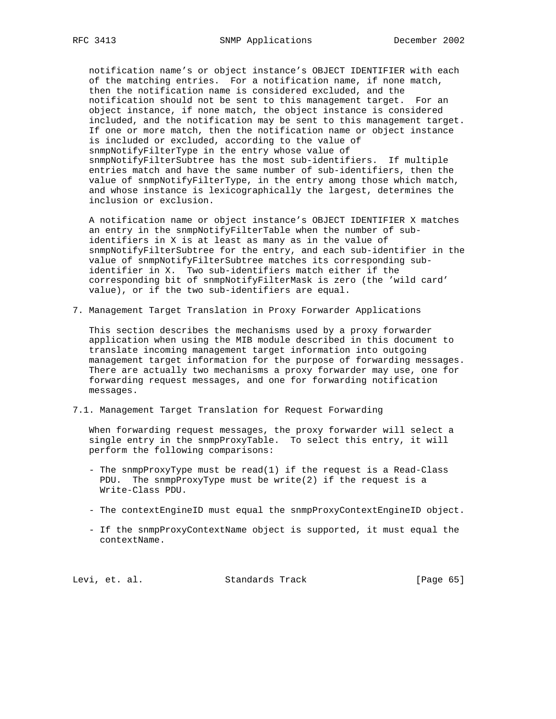notification name's or object instance's OBJECT IDENTIFIER with each of the matching entries. For a notification name, if none match, then the notification name is considered excluded, and the notification should not be sent to this management target. For an object instance, if none match, the object instance is considered included, and the notification may be sent to this management target. If one or more match, then the notification name or object instance is included or excluded, according to the value of snmpNotifyFilterType in the entry whose value of snmpNotifyFilterSubtree has the most sub-identifiers. If multiple entries match and have the same number of sub-identifiers, then the value of snmpNotifyFilterType, in the entry among those which match, and whose instance is lexicographically the largest, determines the inclusion or exclusion.

 A notification name or object instance's OBJECT IDENTIFIER X matches an entry in the snmpNotifyFilterTable when the number of sub identifiers in X is at least as many as in the value of snmpNotifyFilterSubtree for the entry, and each sub-identifier in the value of snmpNotifyFilterSubtree matches its corresponding sub identifier in X. Two sub-identifiers match either if the corresponding bit of snmpNotifyFilterMask is zero (the 'wild card' value), or if the two sub-identifiers are equal.

7. Management Target Translation in Proxy Forwarder Applications

 This section describes the mechanisms used by a proxy forwarder application when using the MIB module described in this document to translate incoming management target information into outgoing management target information for the purpose of forwarding messages. There are actually two mechanisms a proxy forwarder may use, one for forwarding request messages, and one for forwarding notification messages.

7.1. Management Target Translation for Request Forwarding

 When forwarding request messages, the proxy forwarder will select a single entry in the snmpProxyTable. To select this entry, it will perform the following comparisons:

- The snmpProxyType must be read(1) if the request is a Read-Class PDU. The snmpProxyType must be write(2) if the request is a Write-Class PDU.
- The contextEngineID must equal the snmpProxyContextEngineID object.
- If the snmpProxyContextName object is supported, it must equal the contextName.

Levi, et. al. Standards Track [Page 65]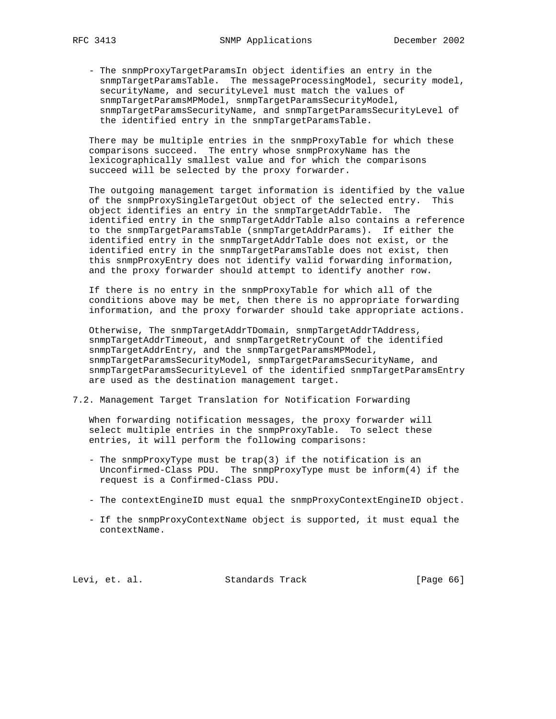- The snmpProxyTargetParamsIn object identifies an entry in the snmpTargetParamsTable. The messageProcessingModel, security model, securityName, and securityLevel must match the values of snmpTargetParamsMPModel, snmpTargetParamsSecurityModel, snmpTargetParamsSecurityName, and snmpTargetParamsSecurityLevel of the identified entry in the snmpTargetParamsTable.

 There may be multiple entries in the snmpProxyTable for which these comparisons succeed. The entry whose snmpProxyName has the lexicographically smallest value and for which the comparisons succeed will be selected by the proxy forwarder.

 The outgoing management target information is identified by the value of the snmpProxySingleTargetOut object of the selected entry. This object identifies an entry in the snmpTargetAddrTable. The identified entry in the snmpTargetAddrTable also contains a reference to the snmpTargetParamsTable (snmpTargetAddrParams). If either the identified entry in the snmpTargetAddrTable does not exist, or the identified entry in the snmpTargetParamsTable does not exist, then this snmpProxyEntry does not identify valid forwarding information, and the proxy forwarder should attempt to identify another row.

 If there is no entry in the snmpProxyTable for which all of the conditions above may be met, then there is no appropriate forwarding information, and the proxy forwarder should take appropriate actions.

 Otherwise, The snmpTargetAddrTDomain, snmpTargetAddrTAddress, snmpTargetAddrTimeout, and snmpTargetRetryCount of the identified snmpTargetAddrEntry, and the snmpTargetParamsMPModel, snmpTargetParamsSecurityModel, snmpTargetParamsSecurityName, and snmpTargetParamsSecurityLevel of the identified snmpTargetParamsEntry are used as the destination management target.

7.2. Management Target Translation for Notification Forwarding

 When forwarding notification messages, the proxy forwarder will select multiple entries in the snmpProxyTable. To select these entries, it will perform the following comparisons:

- The snmpProxyType must be trap(3) if the notification is an Unconfirmed-Class PDU. The snmpProxyType must be inform(4) if the request is a Confirmed-Class PDU.
- The contextEngineID must equal the snmpProxyContextEngineID object.
- If the snmpProxyContextName object is supported, it must equal the contextName.

Levi, et. al. Standards Track [Page 66]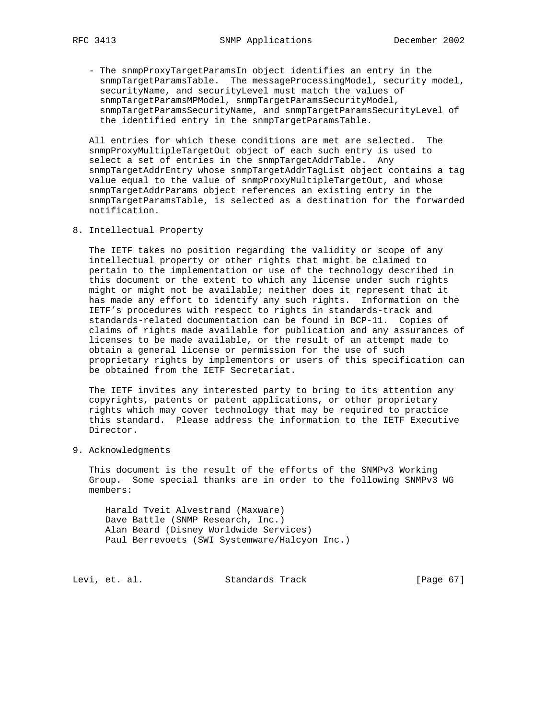- The snmpProxyTargetParamsIn object identifies an entry in the snmpTargetParamsTable. The messageProcessingModel, security model, securityName, and securityLevel must match the values of snmpTargetParamsMPModel, snmpTargetParamsSecurityModel, snmpTargetParamsSecurityName, and snmpTargetParamsSecurityLevel of the identified entry in the snmpTargetParamsTable.

 All entries for which these conditions are met are selected. The snmpProxyMultipleTargetOut object of each such entry is used to select a set of entries in the snmpTargetAddrTable. Any snmpTargetAddrEntry whose snmpTargetAddrTagList object contains a tag value equal to the value of snmpProxyMultipleTargetOut, and whose snmpTargetAddrParams object references an existing entry in the snmpTargetParamsTable, is selected as a destination for the forwarded notification.

8. Intellectual Property

 The IETF takes no position regarding the validity or scope of any intellectual property or other rights that might be claimed to pertain to the implementation or use of the technology described in this document or the extent to which any license under such rights might or might not be available; neither does it represent that it has made any effort to identify any such rights. Information on the IETF's procedures with respect to rights in standards-track and standards-related documentation can be found in BCP-11. Copies of claims of rights made available for publication and any assurances of licenses to be made available, or the result of an attempt made to obtain a general license or permission for the use of such proprietary rights by implementors or users of this specification can be obtained from the IETF Secretariat.

 The IETF invites any interested party to bring to its attention any copyrights, patents or patent applications, or other proprietary rights which may cover technology that may be required to practice this standard. Please address the information to the IETF Executive Director.

9. Acknowledgments

 This document is the result of the efforts of the SNMPv3 Working Group. Some special thanks are in order to the following SNMPv3 WG members:

 Harald Tveit Alvestrand (Maxware) Dave Battle (SNMP Research, Inc.) Alan Beard (Disney Worldwide Services) Paul Berrevoets (SWI Systemware/Halcyon Inc.)

Levi, et. al. Standards Track [Page 67]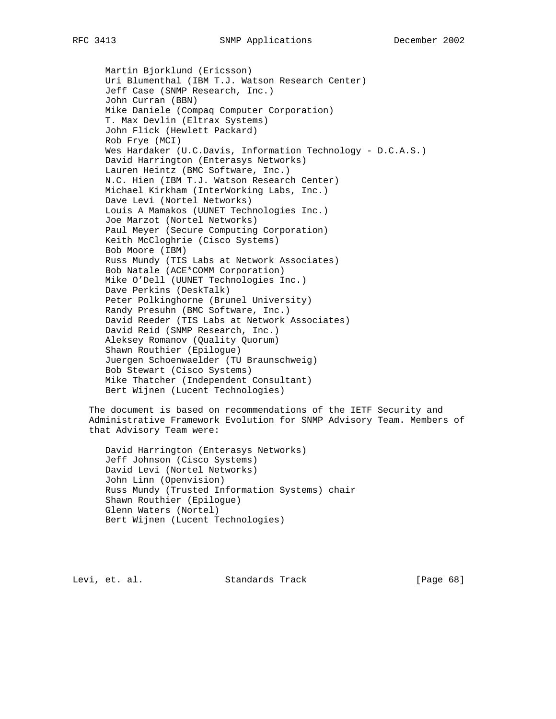Martin Bjorklund (Ericsson) Uri Blumenthal (IBM T.J. Watson Research Center) Jeff Case (SNMP Research, Inc.) John Curran (BBN) Mike Daniele (Compaq Computer Corporation) T. Max Devlin (Eltrax Systems) John Flick (Hewlett Packard) Rob Frye (MCI) Wes Hardaker (U.C.Davis, Information Technology - D.C.A.S.) David Harrington (Enterasys Networks) Lauren Heintz (BMC Software, Inc.) N.C. Hien (IBM T.J. Watson Research Center) Michael Kirkham (InterWorking Labs, Inc.) Dave Levi (Nortel Networks) Louis A Mamakos (UUNET Technologies Inc.) Joe Marzot (Nortel Networks) Paul Meyer (Secure Computing Corporation) Keith McCloghrie (Cisco Systems) Bob Moore (IBM) Russ Mundy (TIS Labs at Network Associates) Bob Natale (ACE\*COMM Corporation) Mike O'Dell (UUNET Technologies Inc.) Dave Perkins (DeskTalk) Peter Polkinghorne (Brunel University) Randy Presuhn (BMC Software, Inc.) David Reeder (TIS Labs at Network Associates) David Reid (SNMP Research, Inc.) Aleksey Romanov (Quality Quorum) Shawn Routhier (Epilogue) Juergen Schoenwaelder (TU Braunschweig) Bob Stewart (Cisco Systems) Mike Thatcher (Independent Consultant) Bert Wijnen (Lucent Technologies)

 The document is based on recommendations of the IETF Security and Administrative Framework Evolution for SNMP Advisory Team. Members of that Advisory Team were:

 David Harrington (Enterasys Networks) Jeff Johnson (Cisco Systems) David Levi (Nortel Networks) John Linn (Openvision) Russ Mundy (Trusted Information Systems) chair Shawn Routhier (Epilogue) Glenn Waters (Nortel) Bert Wijnen (Lucent Technologies)

Levi, et. al. Standards Track [Page 68]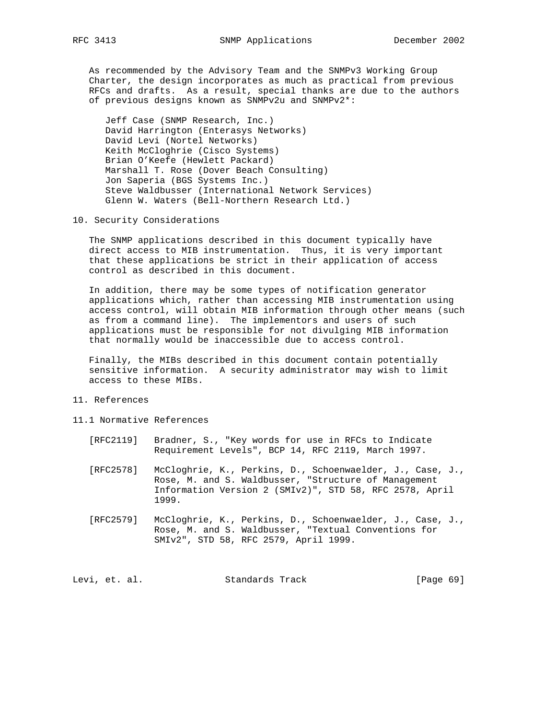As recommended by the Advisory Team and the SNMPv3 Working Group Charter, the design incorporates as much as practical from previous RFCs and drafts. As a result, special thanks are due to the authors of previous designs known as SNMPv2u and SNMPv2\*:

 Jeff Case (SNMP Research, Inc.) David Harrington (Enterasys Networks) David Levi (Nortel Networks) Keith McCloghrie (Cisco Systems) Brian O'Keefe (Hewlett Packard) Marshall T. Rose (Dover Beach Consulting) Jon Saperia (BGS Systems Inc.) Steve Waldbusser (International Network Services) Glenn W. Waters (Bell-Northern Research Ltd.)

10. Security Considerations

 The SNMP applications described in this document typically have direct access to MIB instrumentation. Thus, it is very important that these applications be strict in their application of access control as described in this document.

 In addition, there may be some types of notification generator applications which, rather than accessing MIB instrumentation using access control, will obtain MIB information through other means (such as from a command line). The implementors and users of such applications must be responsible for not divulging MIB information that normally would be inaccessible due to access control.

 Finally, the MIBs described in this document contain potentially sensitive information. A security administrator may wish to limit access to these MIBs.

- 11. References
- 11.1 Normative References
	- [RFC2119] Bradner, S., "Key words for use in RFCs to Indicate Requirement Levels", BCP 14, RFC 2119, March 1997.
	- [RFC2578] McCloghrie, K., Perkins, D., Schoenwaelder, J., Case, J., Rose, M. and S. Waldbusser, "Structure of Management Information Version 2 (SMIv2)", STD 58, RFC 2578, April 1999.
	- [RFC2579] McCloghrie, K., Perkins, D., Schoenwaelder, J., Case, J., Rose, M. and S. Waldbusser, "Textual Conventions for SMIv2", STD 58, RFC 2579, April 1999.

Levi, et. al. Standards Track [Page 69]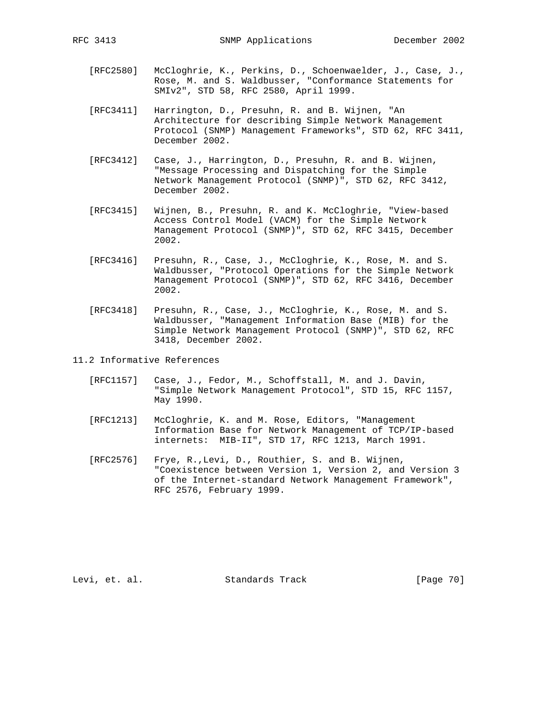- [RFC2580] McCloghrie, K., Perkins, D., Schoenwaelder, J., Case, J., Rose, M. and S. Waldbusser, "Conformance Statements for SMIv2", STD 58, RFC 2580, April 1999.
- [RFC3411] Harrington, D., Presuhn, R. and B. Wijnen, "An Architecture for describing Simple Network Management Protocol (SNMP) Management Frameworks", STD 62, RFC 3411, December 2002.
- [RFC3412] Case, J., Harrington, D., Presuhn, R. and B. Wijnen, "Message Processing and Dispatching for the Simple Network Management Protocol (SNMP)", STD 62, RFC 3412, December 2002.
- [RFC3415] Wijnen, B., Presuhn, R. and K. McCloghrie, "View-based Access Control Model (VACM) for the Simple Network Management Protocol (SNMP)", STD 62, RFC 3415, December 2002.
- [RFC3416] Presuhn, R., Case, J., McCloghrie, K., Rose, M. and S. Waldbusser, "Protocol Operations for the Simple Network Management Protocol (SNMP)", STD 62, RFC 3416, December 2002.
- [RFC3418] Presuhn, R., Case, J., McCloghrie, K., Rose, M. and S. Waldbusser, "Management Information Base (MIB) for the Simple Network Management Protocol (SNMP)", STD 62, RFC 3418, December 2002.
- 11.2 Informative References
	- [RFC1157] Case, J., Fedor, M., Schoffstall, M. and J. Davin, "Simple Network Management Protocol", STD 15, RFC 1157, May 1990.
	- [RFC1213] McCloghrie, K. and M. Rose, Editors, "Management Information Base for Network Management of TCP/IP-based internets: MIB-II", STD 17, RFC 1213, March 1991.
	- [RFC2576] Frye, R.,Levi, D., Routhier, S. and B. Wijnen, "Coexistence between Version 1, Version 2, and Version 3 of the Internet-standard Network Management Framework", RFC 2576, February 1999.

Levi, et. al. Standards Track [Page 70]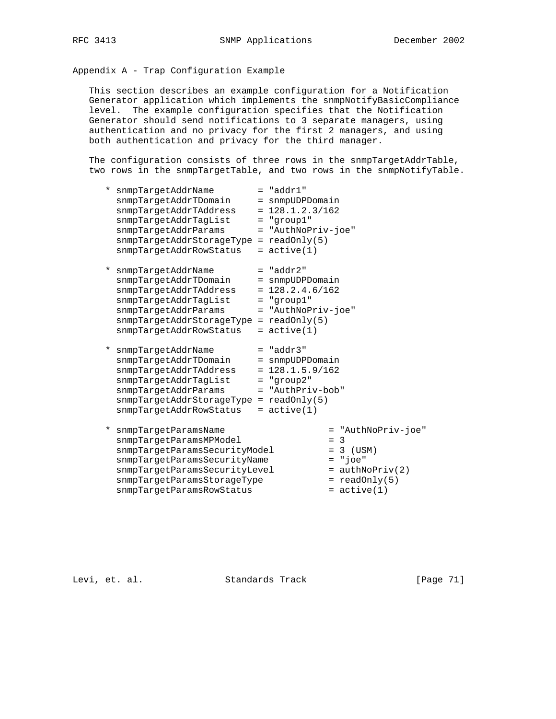## Appendix A - Trap Configuration Example

 This section describes an example configuration for a Notification Generator application which implements the snmpNotifyBasicCompliance level. The example configuration specifies that the Notification Generator should send notifications to 3 separate managers, using authentication and no privacy for the first 2 managers, and using both authentication and privacy for the third manager.

The configuration consists of three rows in the snmpTargetAddrTable, two rows in the snmpTargetTable, and two rows in the snmpNotifyTable.

| * snmpTargetAddrName<br>snmpTargetAddrTDomain<br>snmpTargetAddrTAddress<br>snmpTargetAddrTagList<br>snmpTargetAddrParams                                                                          | $=$ "addr $1$ "<br>= snmpUDPDomain<br>$= 128.1.2.3/162$<br>$=$ "group $1$ "<br>= "AuthNoPriv-joe"                                 |                                                                              |
|---------------------------------------------------------------------------------------------------------------------------------------------------------------------------------------------------|-----------------------------------------------------------------------------------------------------------------------------------|------------------------------------------------------------------------------|
| $snmpTargetAddress \texttt{Ad} \texttt{c} \texttt{rageType} = readOnly(5)$<br>snmpTargetAddrRowStatus                                                                                             | $=$ active(1)                                                                                                                     |                                                                              |
| * snmpTargetAddrName<br>snmpTarqetAddrTDomain<br>snmpTargetAddrTAddress<br>snmpTargetAddrTagList<br>snmpTargetAddrParams<br>snmpTargetAddrStorageType<br>snmpTargetAddrRowStatus                  | $=$ "addr2"<br>= snmpUDPDomain<br>$= 128.2.4.6/162$<br>$=$ "qroup $1$ "<br>= "AuthNoPriv-joe"<br>$=$ readonly(5)<br>$=$ active(1) |                                                                              |
| * snmpTargetAddrName<br>snmpTargetAddrTDomain<br>snmpTarqetAddrTAddress<br>snmpTargetAddrTagList<br>snmpTargetAddrParams<br>$s$ nmpTargetAddrStorageType = readOnly(5)<br>snmpTargetAddrRowStatus | $=$ "addr3"<br>= snmpUDPDomain<br>$= 128.1.5.9/162$<br>$=$ "qroup2"<br>= "AuthPriv-bob"<br>$=$ active(1)                          |                                                                              |
| * snmpTargetParamsName<br>snmpTargetParamsMPModel<br>snmpTargetParamsSecurityModel<br>snmpTargetParamsSecurityName<br>snmpTargetParamsSecurityLevel                                               |                                                                                                                                   | = "AuthNoPriv-joe"<br>$=$ 3<br>$= 3$ (USM)<br>$= "joe"$<br>$=$ authNoPriv(2) |

 $s$ nmpTargetParamsStorageType  $s = readOnly(5)$ snmpTargetParamsRowStatus = active(1)

Levi, et. al. Standards Track [Page 71]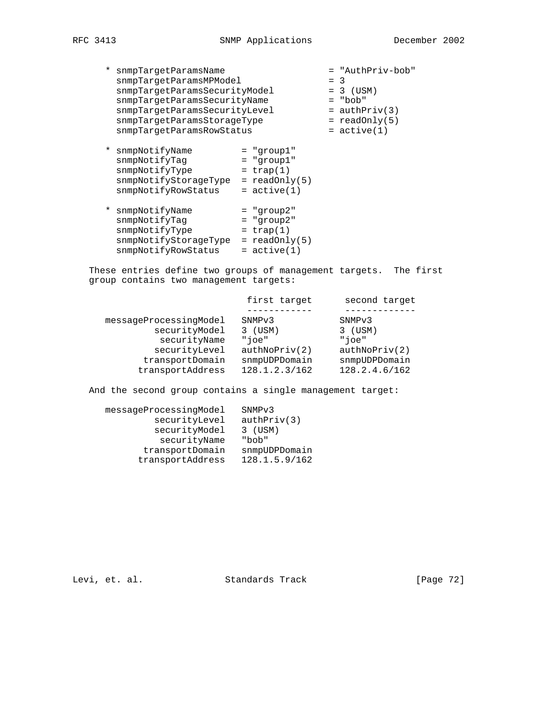\* snmpTargetParamsName = "AuthPriv-bob" snmpTargetParamsMPModel = 3 snmpTargetParamsSecurityModel = 3 (USM) snmpTargetParamsSecurityName = "bob" snmpTargetParamsSecurityLevel = authPriv(3)  $s$ nmpTargetParamsStorageType  $s = readOnly(5)$ snmpTargetParamsRowStatus = active(1)

- \* snmpNotifyName = "group1" snmpNotifyTag = "group1" snmpNotifyType = trap(1) snmpNotifyStorageType = readOnly(5) snmpNotifyRowStatus = active(1)
- \* snmpNotifyName = "group2" snmpNotifyTag = "group2" snmpNotifyType = trap(1) snmpNotifyStorageType = readOnly(5)  $s n m p \text{NotifyRows}$  =  $active(1)$

 These entries define two groups of management targets. The first group contains two management targets:

|                        | first target       | second target      |
|------------------------|--------------------|--------------------|
|                        |                    |                    |
| messageProcessingModel | SNMP <sub>v3</sub> | SNMP <sub>v3</sub> |
| securityModel          | $3$ (USM)          | $3$ (USM)          |
| securityName           | "ioe"              | "ioe"              |
| securityLevel          | author(2)          | author(2)          |
| transportDomain        | snmpUDPDomain      | snmpUDPDomain      |
| transportAddress       | 128.1.2.3/162      | 128.2.4.6/162      |

And the second group contains a single management target:

| messageProcessingModel | SNMP <sub>v3</sub> |
|------------------------|--------------------|
| securityLevel          | author(3)          |
| securityModel          | $3$ (USM)          |
| securityName           | "bob"              |
| transportDomain        | snmpUDPDomain      |
| transportAddress       | 128.1.5.9/162      |

Levi, et. al. Standards Track [Page 72]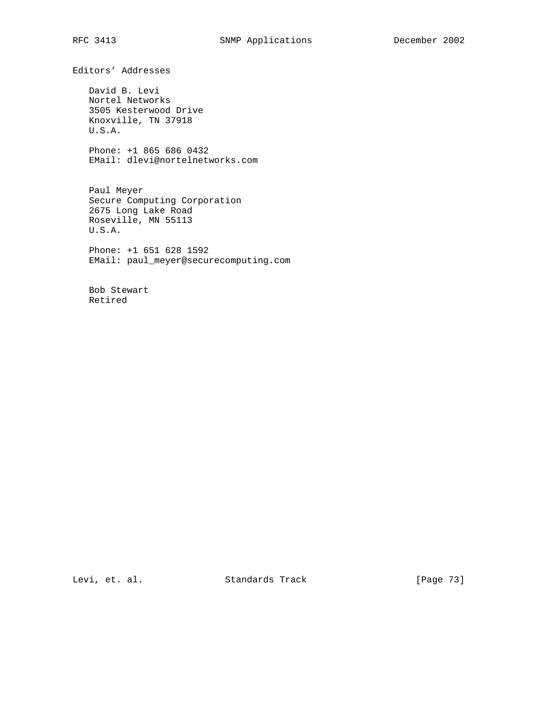Editors' Addresses

 David B. Levi Nortel Networks 3505 Kesterwood Drive Knoxville, TN 37918 U.S.A.

 Phone: +1 865 686 0432 EMail: dlevi@nortelnetworks.com

 Paul Meyer Secure Computing Corporation 2675 Long Lake Road Roseville, MN 55113 U.S.A.

 Phone: +1 651 628 1592 EMail: paul\_meyer@securecomputing.com

 Bob Stewart Retired

Levi, et. al. Standards Track [Page 73]